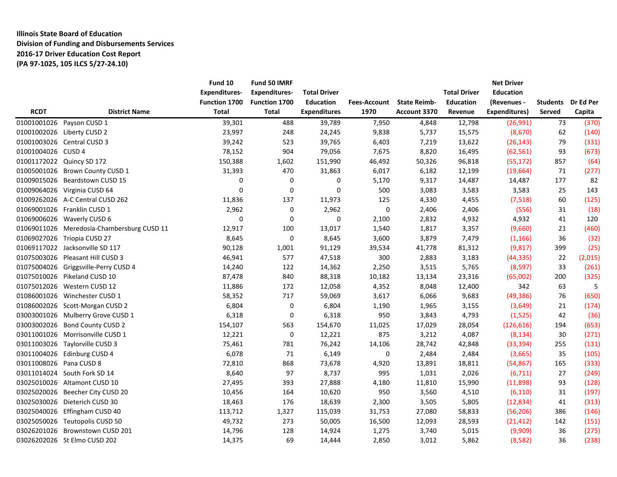# **Illinois State Board of Education Division of Funding and Disbursements Services 2016-17 Driver Education Cost Report (PA 97-1025, 105 ILCS 5/27-24.10)**

|                         |                                            | Fund 10              | Fund 50 IMRF         |                     |                     |                     |                     | <b>Net Driver</b> |                 |           |
|-------------------------|--------------------------------------------|----------------------|----------------------|---------------------|---------------------|---------------------|---------------------|-------------------|-----------------|-----------|
|                         |                                            | <b>Expenditures-</b> | <b>Expenditures-</b> | <b>Total Driver</b> |                     |                     | <b>Total Driver</b> | <b>Education</b>  |                 |           |
|                         |                                            | Function 1700        | Function 1700        | <b>Education</b>    | <b>Fees-Account</b> | <b>State Reimb-</b> | <b>Education</b>    | (Revenues -       | <b>Students</b> | Dr Ed Per |
| <b>RCDT</b>             | <b>District Name</b>                       | <b>Total</b>         | <b>Total</b>         | <b>Expenditures</b> | 1970                | <b>Account 3370</b> | Revenue             | Expenditures)     | Served          | Capita    |
|                         | 01001001026 Payson CUSD 1                  | 39,301               | 488                  | 39,789              | 7,950               | 4,848               | 12,798              | (26,991)          | 73              | (370)     |
|                         | 01001002026 Liberty CUSD 2                 | 23,997               | 248                  | 24,245              | 9,838               | 5,737               | 15,575              | (8,670)           | 62              | (140)     |
|                         | 01001003026 Central CUSD 3                 | 39,242               | 523                  | 39,765              | 6,403               | 7,219               | 13,622              | (26, 143)         | 79              | (331)     |
| 01001004026 CUSD 4      |                                            | 78,152               | 904                  | 79,056              | 7,675               | 8,820               | 16,495              | (62, 561)         | 93              | (673)     |
|                         | 01001172022 Quincy SD 172                  | 150,388              | 1,602                | 151,990             | 46,492              | 50,326              | 96,818              | (55, 172)         | 857             | (64)      |
|                         | 01005001026 Brown County CUSD 1            | 31,393               | 470                  | 31,863              | 6,017               | 6,182               | 12,199              | (19,664)          | 71              | (277)     |
|                         | 01009015026 Beardstown CUSD 15             | 0                    | $\mathbf 0$          | 0                   | 5,170               | 9,317               | 14,487              | 14,487            | 177             | 82        |
|                         | 01009064026 Virginia CUSD 64               | 0                    | $\mathbf 0$          | $\mathbf 0$         | 500                 | 3,083               | 3,583               | 3,583             | 25              | 143       |
|                         | 01009262026 A-C Central CUSD 262           | 11,836               | 137                  | 11,973              | 125                 | 4,330               | 4,455               | (7,518)           | 60              | (125)     |
|                         | 01069001026 Franklin CUSD 1                | 2,962                | 0                    | 2,962               | 0                   | 2,406               | 2,406               | (556)             | 31              | (18)      |
|                         | 01069006026 Waverly CUSD 6                 | 0                    | 0                    | 0                   | 2,100               | 2,832               | 4,932               | 4,932             | 41              | 120       |
|                         | 01069011026 Meredosia-Chambersburg CUSD 11 | 12,917               | 100                  | 13,017              | 1,540               | 1,817               | 3,357               | (9,660)           | 21              | (460)     |
|                         | 01069027026 Triopia CUSD 27                | 8,645                | $\mathbf 0$          | 8,645               | 3,600               | 3,879               | 7,479               | (1, 166)          | 36              | (32)      |
|                         | 01069117022 Jacksonville SD 117            | 90,128               | 1,001                | 91,129              | 39,534              | 41,778              | 81,312              | (9,817)           | 399             | (25)      |
|                         | 01075003026 Pleasant Hill CUSD 3           | 46,941               | 577                  | 47,518              | 300                 | 2,883               | 3,183               | (44, 335)         | 22              | (2,015)   |
|                         | 01075004026 Griggsville-Perry CUSD 4       | 14,240               | 122                  | 14,362              | 2,250               | 3,515               | 5,765               | (8, 597)          | 33              | (261)     |
|                         | 01075010026 Pikeland CUSD 10               | 87,478               | 840                  | 88,318              | 10,182              | 13,134              | 23,316              | (65,002)          | 200             | (325)     |
|                         | 01075012026 Western CUSD 12                | 11,886               | 172                  | 12,058              | 4,352               | 8,048               | 12,400              | 342               | 63              | 5         |
|                         | 01086001026 Winchester CUSD 1              | 58,352               | 717                  | 59,069              | 3,617               | 6,066               | 9,683               | (49, 386)         | 76              | (650)     |
|                         | 01086002026 Scott-Morgan CUSD 2            | 6,804                | $\mathbf 0$          | 6,804               | 1,190               | 1,965               | 3,155               | (3,649)           | 21              | (174)     |
|                         | 03003001026 Mulberry Grove CUSD 1          | 6,318                | 0                    | 6,318               | 950                 | 3,843               | 4,793               | (1,525)           | 42              | (36)      |
|                         | 03003002026 Bond County CUSD 2             | 154,107              | 563                  | 154,670             | 11,025              | 17,029              | 28,054              | (126, 616)        | 194             | (653)     |
|                         | 03011001026 Morrisonville CUSD 1           | 12,221               | 0                    | 12,221              | 875                 | 3,212               | 4,087               | (8, 134)          | 30              | (271)     |
|                         | 03011003026 Taylorville CUSD 3             | 75,461               | 781                  | 76,242              | 14,106              | 28,742              | 42,848              | (33, 394)         | 255             | (131)     |
|                         | 03011004026 Edinburg CUSD 4                | 6,078                | 71                   | 6,149               | 0                   | 2,484               | 2,484               | (3,665)           | 35              | (105)     |
| 03011008026 Pana CUSD 8 |                                            | 72,810               | 868                  | 73,678              | 4,920               | 13,891              | 18,811              | (54, 867)         | 165             | (333)     |
|                         | 03011014024 South Fork SD 14               | 8,640                | 97                   | 8,737               | 995                 | 1,031               | 2,026               | (6, 711)          | 27              | (249)     |
|                         | 03025010026 Altamont CUSD 10               | 27,495               | 393                  | 27,888              | 4,180               | 11,810              | 15,990              | (11,898)          | 93              | (128)     |
|                         | 03025020026 Beecher City CUSD 20           | 10,456               | 164                  | 10,620              | 950                 | 3,560               | 4,510               | (6, 110)          | 31              | (197)     |
|                         | 03025030026 Dieterich CUSD 30              | 18,463               | 176                  | 18,639              | 2,300               | 3,505               | 5,805               | (12, 834)         | 41              | (313)     |
|                         | 03025040026 Effingham CUSD 40              | 113,712              | 1,327                | 115,039             | 31,753              | 27,080              | 58,833              | (56, 206)         | 386             | (146)     |
|                         | 03025050026 Teutopolis CUSD 50             | 49,732               | 273                  | 50,005              | 16,500              | 12,093              | 28,593              | (21, 412)         | 142             | (151)     |
|                         | 03026201026 Brownstown CUSD 201            | 14,796               | 128                  | 14,924              | 1,275               | 3,740               | 5,015               | (9,909)           | 36              | (275)     |
|                         | 03026202026 St Elmo CUSD 202               | 14,375               | 69                   | 14,444              | 2,850               | 3,012               | 5,862               | (8,582)           | 36              | (238)     |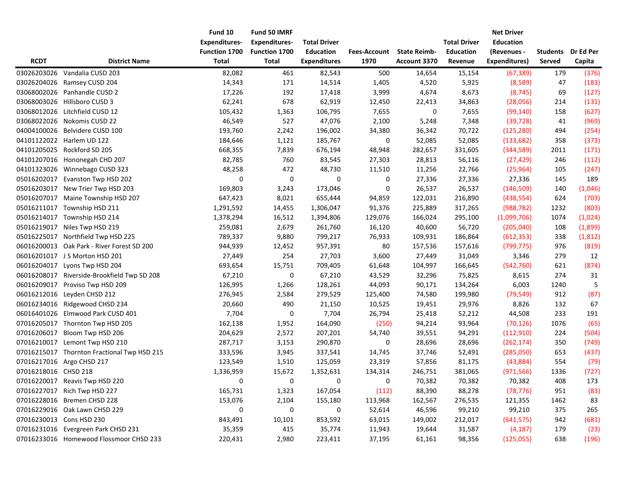|                      |                                             | Fund 10<br><b>Expenditures-</b> | Fund 50 IMRF<br><b>Expenditures-</b> | <b>Total Driver</b>                     |                             |                                     | <b>Total Driver</b>         | <b>Net Driver</b><br><b>Education</b> |                           |                     |
|----------------------|---------------------------------------------|---------------------------------|--------------------------------------|-----------------------------------------|-----------------------------|-------------------------------------|-----------------------------|---------------------------------------|---------------------------|---------------------|
| <b>RCDT</b>          | <b>District Name</b>                        | Function 1700<br><b>Total</b>   | Function 1700<br><b>Total</b>        | <b>Education</b><br><b>Expenditures</b> | <b>Fees-Account</b><br>1970 | <b>State Reimb-</b><br>Account 3370 | <b>Education</b><br>Revenue | (Revenues -<br>Expenditures)          | <b>Students</b><br>Served | Dr Ed Per<br>Capita |
| 03026203026          | Vandalia CUSD 203                           | 82,082                          | 461                                  | 82,543                                  | 500                         | 14,654                              | 15,154                      | (67, 389)                             | 179                       | (376)               |
| 03026204026          | Ramsey CUSD 204                             | 14,343                          | 171                                  | 14,514                                  | 1,405                       | 4,520                               | 5,925                       | (8,589)                               | 47                        | (183)               |
| 03068002026          | Panhandle CUSD 2                            | 17,226                          | 192                                  | 17,418                                  | 3,999                       | 4,674                               | 8,673                       | (8, 745)                              | 69                        | (127)               |
| 03068003026          | Hillsboro CUSD 3                            | 62,241                          | 678                                  | 62,919                                  | 12,450                      | 22,413                              | 34,863                      | (28,056)                              | 214                       | (131)               |
| 03068012026          | Litchfield CUSD 12                          | 105,432                         | 1,363                                | 106,795                                 | 7,655                       | 0                                   | 7,655                       | (99, 140)                             | 158                       | (627)               |
| 03068022026          | Nokomis CUSD 22                             | 46,549                          | 527                                  | 47,076                                  | 2,100                       | 5,248                               | 7,348                       | (39, 728)                             | 41                        | (969)               |
| 04004100026          | Belvidere CUSD 100                          | 193,760                         | 2,242                                | 196,002                                 | 34,380                      | 36,342                              | 70,722                      | (125, 280)                            | 494                       | (254)               |
|                      | 04101122022 Harlem UD 122                   | 184,646                         | 1,121                                | 185,767                                 | 0                           | 52,085                              | 52,085                      | (133, 682)                            | 358                       | (373)               |
| 04101205025          | Rockford SD 205                             | 668,355                         | 7,839                                | 676,194                                 | 48,948                      | 282,657                             | 331,605                     | (344, 589)                            | 2011                      | (171)               |
|                      | 04101207016 Hononegah CHD 207               | 82,785                          | 760                                  | 83,545                                  | 27,303                      | 28,813                              | 56,116                      | (27, 429)                             | 246                       | (112)               |
|                      | 04101323026 Winnebago CUSD 323              | 48,258                          | 472                                  | 48,730                                  | 11,510                      | 11,256                              | 22,766                      | (25,964)                              | 105                       | (247)               |
| 05016202017          | Evanston Twp HSD 202                        | 0                               | 0                                    | 0                                       | 0                           | 27,336                              | 27,336                      | 27,336                                | 145                       | 189                 |
| 05016203017          | New Trier Twp HSD 203                       | 169,803                         | 3,243                                | 173,046                                 | 0                           | 26,537                              | 26,537                      | (146, 509)                            | 140                       | (1,046)             |
| 05016207017          | Maine Township HSD 207                      | 647,423                         | 8,021                                | 655,444                                 | 94,859                      | 122,031                             | 216,890                     | (438, 554)                            | 624                       | (703)               |
|                      | 05016211017 Township HSD 211                | 1,291,592                       | 14,455                               | 1,306,047                               | 91,376                      | 225,889                             | 317,265                     | (988, 782)                            | 1232                      | (803)               |
|                      | 05016214017 Township HSD 214                | 1,378,294                       | 16,512                               | 1,394,806                               | 129,076                     | 166,024                             | 295,100                     | (1,099,706)                           | 1074                      | (1,024)             |
| 05016219017          | Niles Twp HSD 219                           | 259,081                         | 2,679                                | 261,760                                 | 16,120                      | 40,600                              | 56,720                      | (205, 040)                            | 108                       | (1,899)             |
| 05016225017          | Northfield Twp HSD 225                      | 789,337                         | 9,880                                | 799,217                                 | 76,933                      | 109,931                             | 186,864                     | (612, 353)                            | 338                       | (1,812)             |
|                      | 06016200013 Oak Park - River Forest SD 200  | 944,939                         | 12,452                               | 957,391                                 | 80                          | 157,536                             | 157,616                     | (799, 775)                            | 976                       | (819)               |
|                      | 06016201017 J S Morton HSD 201              | 27,449                          | 254                                  | 27,703                                  | 3,600                       | 27,449                              | 31,049                      | 3,346                                 | 279                       | 12                  |
| 06016204017          | Lyons Twp HSD 204                           | 693,654                         | 15,751                               | 709,405                                 | 61,648                      | 104,997                             | 166,645                     | (542, 760)                            | 621                       | (874)               |
|                      | 06016208017 Riverside-Brookfield Twp SD 208 | 67,210                          | 0                                    | 67,210                                  | 43,529                      | 32,296                              | 75,825                      | 8,615                                 | 274                       | 31                  |
| 06016209017          | Proviso Twp HSD 209                         | 126,995                         | 1,266                                | 128,261                                 | 44,093                      | 90,171                              | 134,264                     | 6,003                                 | 1240                      | 5                   |
|                      | 06016212016 Leyden CHSD 212                 | 276,945                         | 2,584                                | 279,529                                 | 125,400                     | 74,580                              | 199,980                     | (79, 549)                             | 912                       | (87)                |
|                      | 06016234016 Ridgewood CHSD 234              | 20,660                          | 490                                  | 21,150                                  | 10,525                      | 19,451                              | 29,976                      | 8,826                                 | 132                       | 67                  |
| 06016401026          | Elmwood Park CUSD 401                       | 7,704                           | 0                                    | 7,704                                   | 26,794                      | 25,418                              | 52,212                      | 44,508                                | 233                       | 191                 |
| 07016205017          | Thornton Twp HSD 205                        | 162,138                         | 1,952                                | 164,090                                 | (250)                       | 94,214                              | 93,964                      | (70, 126)                             | 1076                      | (65)                |
| 07016206017          | Bloom Twp HSD 206                           | 204,629                         | 2,572                                | 207,201                                 | 54,740                      | 39,551                              | 94,291                      | (112, 910)                            | 224                       | (504)               |
| 07016210017          | Lemont Twp HSD 210                          | 287,717                         | 3,153                                | 290,870                                 | 0                           | 28,696                              | 28,696                      | (262, 174)                            | 350                       | (749)               |
|                      | 07016215017 Thornton Fractional Twp HSD 215 | 333,596                         | 3,945                                | 337,541                                 | 14,745                      | 37,746                              | 52,491                      | (285,050)                             | 653                       | (437)               |
|                      | 07016217016 Argo CHSD 217                   | 123,549                         | 1,510                                | 125,059                                 | 23,319                      | 57,856                              | 81,175                      | (43,884)                              | 554                       | (79)                |
| 07016218016 CHSD 218 |                                             | 1,336,959                       | 15,672                               | 1,352,631                               | 134,314                     | 246,751                             | 381,065                     | (971, 566)                            | 1336                      | (727)               |
|                      | 07016220017 Reavis Twp HSD 220              | 0                               | 0                                    | 0                                       | 0                           | 70,382                              | 70,382                      | 70,382                                | 408                       | 173                 |
|                      | 07016227017 Rich Twp HSD 227                | 165,731                         | 1,323                                | 167,054                                 | (112)                       | 88,390                              | 88,278                      | (78, 776)                             | 951                       | (83)                |
|                      | 07016228016 Bremen CHSD 228                 | 153,076                         | 2,104                                | 155,180                                 | 113,968                     | 162,567                             | 276,535                     | 121,355                               | 1462                      | 83                  |
|                      | 07016229016 Oak Lawn CHSD 229               | 0                               | 0                                    | 0                                       | 52,614                      | 46,596                              | 99,210                      | 99,210                                | 375                       | 265                 |
|                      | 07016230013 Cons HSD 230                    | 843,491                         | 10,101                               | 853,592                                 | 63,015                      | 149,002                             | 212,017                     | (641, 575)                            | 942                       | (681)               |
|                      | 07016231016 Evergreen Park CHSD 231         | 35,359                          | 415                                  | 35,774                                  | 11,943                      | 19,644                              | 31,587                      | (4, 187)                              | 179                       | (23)                |
|                      | 07016233016 Homewood Flossmoor CHSD 233     | 220,431                         | 2,980                                | 223,411                                 | 37,195                      | 61,161                              | 98,356                      | (125, 055)                            | 638                       | (196)               |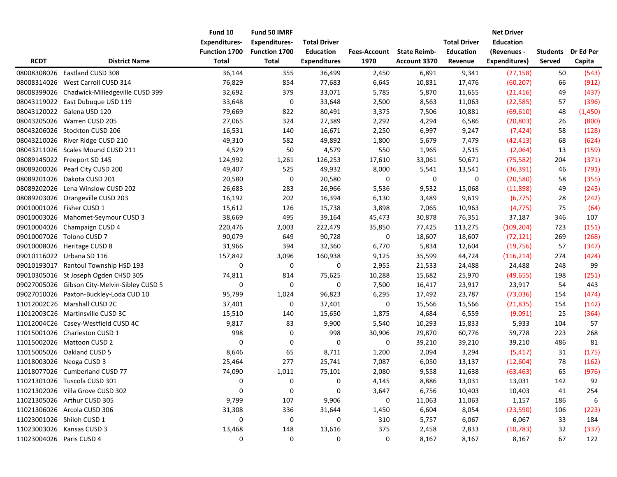| <b>RCDT</b>              | <b>District Name</b>                         | Fund 10<br><b>Expenditures-</b><br><b>Function 1700</b><br><b>Total</b> | Fund 50 IMRF<br><b>Expenditures-</b><br>Function 1700<br><b>Total</b> | <b>Total Driver</b><br><b>Education</b><br><b>Expenditures</b> | <b>Fees-Account</b><br>1970 | <b>State Reimb-</b><br>Account 3370 | <b>Total Driver</b><br><b>Education</b><br>Revenue | <b>Net Driver</b><br><b>Education</b><br>(Revenues -<br><b>Expenditures)</b> | <b>Students</b><br>Served | Dr Ed Per<br>Capita |
|--------------------------|----------------------------------------------|-------------------------------------------------------------------------|-----------------------------------------------------------------------|----------------------------------------------------------------|-----------------------------|-------------------------------------|----------------------------------------------------|------------------------------------------------------------------------------|---------------------------|---------------------|
| 08008308026              | Eastland CUSD 308                            | 36,144                                                                  | 355                                                                   | 36,499                                                         | 2,450                       | 6,891                               | 9,341                                              | (27, 158)                                                                    | 50                        | (543)               |
| 08008314026              | West Carroll CUSD 314                        | 76,829                                                                  | 854                                                                   | 77,683                                                         | 6,645                       | 10,831                              | 17,476                                             | (60, 207)                                                                    | 66                        | (912)               |
| 08008399026              | Chadwick-Milledgeville CUSD 399              | 32,692                                                                  | 379                                                                   | 33,071                                                         | 5,785                       | 5,870                               | 11,655                                             | (21, 416)                                                                    | 49                        | (437)               |
|                          | 08043119022 East Dubuque USD 119             | 33,648                                                                  | 0                                                                     | 33,648                                                         | 2,500                       | 8,563                               | 11,063                                             | (22, 585)                                                                    | 57                        | (396)               |
|                          | 08043120022 Galena USD 120                   | 79,669                                                                  | 822                                                                   | 80,491                                                         | 3,375                       | 7,506                               | 10,881                                             | (69, 610)                                                                    | 48                        | (1,450)             |
|                          | 08043205026 Warren CUSD 205                  | 27,065                                                                  | 324                                                                   | 27,389                                                         | 2,292                       | 4,294                               | 6,586                                              | (20, 803)                                                                    | 26                        | (800)               |
|                          | 08043206026 Stockton CUSD 206                | 16,531                                                                  | 140                                                                   | 16,671                                                         | 2,250                       | 6,997                               | 9,247                                              | (7, 424)                                                                     | 58                        | (128)               |
|                          | 08043210026 River Ridge CUSD 210             | 49,310                                                                  | 582                                                                   | 49,892                                                         | 1,800                       | 5,679                               | 7,479                                              | (42, 413)                                                                    | 68                        | (624)               |
|                          | 08043211026 Scales Mound CUSD 211            | 4,529                                                                   | 50                                                                    | 4,579                                                          | 550                         | 1,965                               | 2,515                                              | (2,064)                                                                      | 13                        | (159)               |
|                          | 08089145022 Freeport SD 145                  | 124,992                                                                 | 1,261                                                                 | 126,253                                                        | 17,610                      | 33,061                              | 50,671                                             | (75, 582)                                                                    | 204                       | (371)               |
|                          | 08089200026 Pearl City CUSD 200              | 49,407                                                                  | 525                                                                   | 49,932                                                         | 8,000                       | 5,541                               | 13,541                                             | (36, 391)                                                                    | 46                        | (791)               |
| 08089201026              | Dakota CUSD 201                              | 20,580                                                                  | 0                                                                     | 20,580                                                         | 0                           | 0                                   | 0                                                  | (20, 580)                                                                    | 58                        | (355)               |
| 08089202026              | Lena Winslow CUSD 202                        | 26,683                                                                  | 283                                                                   | 26,966                                                         | 5,536                       | 9,532                               | 15,068                                             | (11,898)                                                                     | 49                        | (243)               |
|                          | 08089203026 Orangeville CUSD 203             | 16,192                                                                  | 202                                                                   | 16,394                                                         | 6,130                       | 3,489                               | 9,619                                              | (6, 775)                                                                     | 28                        | (242)               |
|                          | 09010001026 Fisher CUSD 1                    | 15,612                                                                  | 126                                                                   | 15,738                                                         | 3,898                       | 7,065                               | 10,963                                             | (4, 775)                                                                     | 75                        | (64)                |
|                          | 09010003026 Mahomet-Seymour CUSD 3           | 38,669                                                                  | 495                                                                   | 39,164                                                         | 45,473                      | 30,878                              | 76,351                                             | 37,187                                                                       | 346                       | 107                 |
|                          | 09010004026 Champaign CUSD 4                 | 220,476                                                                 | 2,003                                                                 | 222,479                                                        | 35,850                      | 77,425                              | 113,275                                            | (109, 204)                                                                   | 723                       | (151)               |
|                          | 09010007026 Tolono CUSD 7                    | 90,079                                                                  | 649                                                                   | 90,728                                                         | 0                           | 18,607                              | 18,607                                             | (72, 121)                                                                    | 269                       | (268)               |
|                          | 09010008026 Heritage CUSD 8                  | 31,966                                                                  | 394                                                                   | 32,360                                                         | 6,770                       | 5,834                               | 12,604                                             | (19, 756)                                                                    | 57                        | (347)               |
|                          | 09010116022 Urbana SD 116                    | 157,842                                                                 | 3,096                                                                 | 160,938                                                        | 9,125                       | 35,599                              | 44,724                                             | (116, 214)                                                                   | 274                       | (424)               |
|                          | 09010193017 Rantoul Township HSD 193         | 0                                                                       | 0                                                                     | $\pmb{0}$                                                      | 2,955                       | 21,533                              | 24,488                                             | 24,488                                                                       | 248                       | 99                  |
|                          | 09010305016 St Joseph Ogden CHSD 305         | 74,811                                                                  | 814                                                                   | 75,625                                                         | 10,288                      | 15,682                              | 25,970                                             | (49, 655)                                                                    | 198                       | (251)               |
|                          | 09027005026 Gibson City-Melvin-Sibley CUSD 5 | $\mathbf 0$                                                             | $\boldsymbol{0}$                                                      | 0                                                              | 7,500                       | 16,417                              | 23,917                                             | 23,917                                                                       | 54                        | 443                 |
|                          | 09027010026 Paxton-Buckley-Loda CUD 10       | 95,799                                                                  | 1,024                                                                 | 96,823                                                         | 6,295                       | 17,492                              | 23,787                                             | (73,036)                                                                     | 154                       | (474)               |
|                          | 11012002C26 Marshall CUSD 2C                 | 37,401                                                                  | $\pmb{0}$                                                             | 37,401                                                         | $\pmb{0}$                   | 15,566                              | 15,566                                             | (21, 835)                                                                    | 154                       | (142)               |
|                          | 11012003C26 Martinsville CUSD 3C             | 15,510                                                                  | 140                                                                   | 15,650                                                         | 1,875                       | 4,684                               | 6,559                                              | (9,091)                                                                      | 25                        | (364)               |
|                          | 11012004C26 Casey-Westfield CUSD 4C          | 9,817                                                                   | 83                                                                    | 9,900                                                          | 5,540                       | 10,293                              | 15,833                                             | 5,933                                                                        | 104                       | 57                  |
|                          | 11015001026 Charleston CUSD 1                | 998                                                                     | 0                                                                     | 998                                                            | 30,906                      | 29,870                              | 60,776                                             | 59,778                                                                       | 223                       | 268                 |
|                          | 11015002026 Mattoon CUSD 2                   | 0                                                                       | 0                                                                     | 0                                                              | 0                           | 39,210                              | 39,210                                             | 39,210                                                                       | 486                       | 81                  |
|                          | 11015005026 Oakland CUSD 5                   | 8,646                                                                   | 65                                                                    | 8,711                                                          | 1,200                       | 2,094                               | 3,294                                              | (5, 417)                                                                     | 31                        | (175)               |
|                          | 11018003026 Neoga CUSD 3                     | 25,464                                                                  | 277                                                                   | 25,741                                                         | 7,087                       | 6,050                               | 13,137                                             | (12,604)                                                                     | 78                        | (162)               |
|                          | 11018077026 Cumberland CUSD 77               | 74,090                                                                  | 1,011                                                                 | 75,101                                                         | 2,080                       | 9,558                               | 11,638                                             | (63, 463)                                                                    | 65                        | (976)               |
|                          | 11021301026 Tuscola CUSD 301                 | 0                                                                       | 0                                                                     | $\pmb{0}$                                                      | 4,145                       | 8,886                               | 13,031                                             | 13,031                                                                       | 142                       | 92                  |
|                          | 11021302026 Villa Grove CUSD 302             | 0                                                                       | $\boldsymbol{0}$                                                      | $\mathbf 0$                                                    | 3,647                       | 6,756                               | 10,403                                             | 10,403                                                                       | 41                        | 254                 |
|                          | 11021305026 Arthur CUSD 305                  | 9,799                                                                   | 107                                                                   | 9,906                                                          | 0                           | 11,063                              | 11,063                                             | 1,157                                                                        | 186                       | 6                   |
|                          | 11021306026 Arcola CUSD 306                  | 31,308                                                                  | 336                                                                   | 31,644                                                         | 1,450                       | 6,604                               | 8,054                                              | (23, 590)                                                                    | 106                       | (223)               |
|                          | 11023001026 Shiloh CUSD 1                    | 0                                                                       | 0                                                                     | 0                                                              | 310                         | 5,757                               | 6,067                                              | 6,067                                                                        | 33                        | 184                 |
|                          | 11023003026 Kansas CUSD 3                    | 13,468                                                                  | 148                                                                   | 13,616                                                         | 375                         | 2,458                               | 2,833                                              | (10, 783)                                                                    | 32                        | (337)               |
| 11023004026 Paris CUSD 4 |                                              | 0                                                                       | $\mathbf 0$                                                           | 0                                                              | $\pmb{0}$                   | 8,167                               | 8,167                                              | 8,167                                                                        | 67                        | 122                 |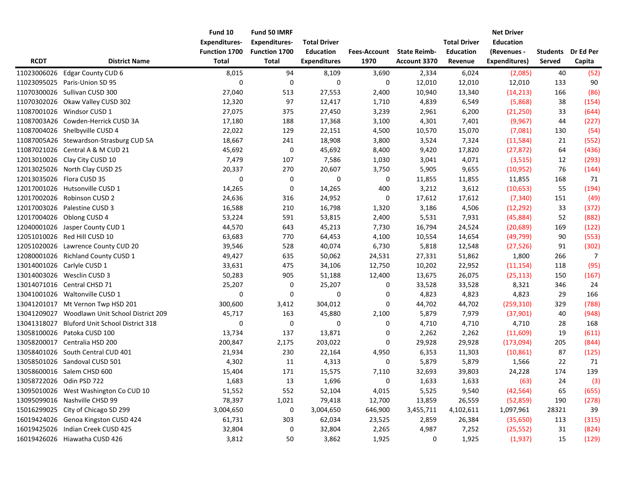|                          |                                         | Fund 10              | Fund 50 IMRF         |                     |                     |                     |                     | <b>Net Driver</b> |                 |                |
|--------------------------|-----------------------------------------|----------------------|----------------------|---------------------|---------------------|---------------------|---------------------|-------------------|-----------------|----------------|
|                          |                                         | <b>Expenditures-</b> | <b>Expenditures-</b> | <b>Total Driver</b> |                     |                     | <b>Total Driver</b> | <b>Education</b>  |                 |                |
|                          |                                         | <b>Function 1700</b> | Function 1700        | <b>Education</b>    | <b>Fees-Account</b> | <b>State Reimb-</b> | <b>Education</b>    | (Revenues -       | <b>Students</b> | Dr Ed Per      |
| <b>RCDT</b>              | <b>District Name</b>                    | <b>Total</b>         | <b>Total</b>         | <b>Expenditures</b> | 1970                | Account 3370        | Revenue             | Expenditures)     | Served          | Capita         |
| 11023006026              | Edgar County CUD 6                      | 8,015                | 94                   | 8,109               | 3,690               | 2,334               | 6,024               | (2,085)           | 40              | (52)           |
| 11023095025              | Paris-Union SD 95                       | 0                    | $\boldsymbol{0}$     | $\mathbf 0$         | 0                   | 12,010              | 12,010              | 12,010            | 133             | 90             |
| 11070300026              | Sullivan CUSD 300                       | 27,040               | 513                  | 27,553              | 2,400               | 10,940              | 13,340              | (14, 213)         | 166             | (86)           |
| 11070302026              | Okaw Valley CUSD 302                    | 12,320               | 97                   | 12,417              | 1,710               | 4,839               | 6,549               | (5,868)           | 38              | (154)          |
|                          | 11087001026 Windsor CUSD 1              | 27,075               | 375                  | 27,450              | 3,239               | 2,961               | 6,200               | (21, 250)         | 33              | (644)          |
|                          | 11087003A26 Cowden-Herrick CUSD 3A      | 17,180               | 188                  | 17,368              | 3,100               | 4,301               | 7,401               | (9,967)           | 44              | (227)          |
|                          | 11087004026 Shelbyville CUSD 4          | 22,022               | 129                  | 22,151              | 4,500               | 10,570              | 15,070              | (7,081)           | 130             | (54)           |
|                          | 11087005A26 Stewardson-Strasburg CUD 5A | 18,667               | 241                  | 18,908              | 3,800               | 3,524               | 7,324               | (11, 584)         | 21              | (552)          |
|                          | 11087021026 Central A & M CUD 21        | 45,692               | $\pmb{0}$            | 45,692              | 8,400               | 9,420               | 17,820              | (27, 872)         | 64              | (436)          |
|                          | 12013010026 Clay City CUSD 10           | 7,479                | 107                  | 7,586               | 1,030               | 3,041               | 4,071               | (3, 515)          | 12              | (293)          |
|                          | 12013025026 North Clay CUSD 25          | 20,337               | 270                  | 20,607              | 3,750               | 5,905               | 9,655               | (10, 952)         | 76              | (144)          |
|                          | 12013035026 Flora CUSD 35               | 0                    | 0                    | 0                   | 0                   | 11,855              | 11,855              | 11,855            | 168             | 71             |
|                          | 12017001026 Hutsonville CUSD 1          | 14,265               | 0                    | 14,265              | 400                 | 3,212               | 3,612               | (10, 653)         | 55              | (194)          |
|                          | 12017002026 Robinson CUSD 2             | 24,636               | 316                  | 24,952              | 0                   | 17,612              | 17,612              | (7, 340)          | 151             | (49)           |
|                          | 12017003026 Palestine CUSD 3            | 16,588               | 210                  | 16,798              | 1,320               | 3,186               | 4,506               | (12, 292)         | 33              | (372)          |
|                          | 12017004026 Oblong CUSD 4               | 53,224               | 591                  | 53,815              | 2,400               | 5,531               | 7,931               | (45,884)          | 52              | (882)          |
| 12040001026              | Jasper County CUD 1                     | 44,570               | 643                  | 45,213              | 7,730               | 16,794              | 24,524              | (20, 689)         | 169             | (122)          |
| 12051010026              | Red Hill CUSD 10                        | 63,683               | 770                  | 64,453              | 4,100               | 10,554              | 14,654              | (49, 799)         | 90              | (553)          |
| 12051020026              | Lawrence County CUD 20                  | 39,546               | 528                  | 40,074              | 6,730               | 5,818               | 12,548              | (27, 526)         | 91              | (302)          |
| 12080001026              | <b>Richland County CUSD 1</b>           | 49,427               | 635                  | 50,062              | 24,531              | 27,331              | 51,862              | 1,800             | 266             | $\overline{7}$ |
|                          | 13014001026 Carlyle CUSD 1              | 33,631               | 475                  | 34,106              | 12,750              | 10,202              | 22,952              | (11, 154)         | 118             | (95)           |
|                          | 13014003026 Wesclin CUSD 3              | 50,283               | 905                  | 51,188              | 12,400              | 13,675              | 26,075              | (25, 113)         | 150             | (167)          |
|                          | 13014071016 Central CHSD 71             | 25,207               | 0                    | 25,207              | 0                   | 33,528              | 33,528              | 8,321             | 346             | 24             |
|                          | 13041001026 Waltonville CUSD 1          | $\mathbf 0$          | $\boldsymbol{0}$     | $\pmb{0}$           | 0                   | 4,823               | 4,823               | 4,823             | 29              | 166            |
|                          | 13041201017 Mt Vernon Twp HSD 201       | 300,600              | 3,412                | 304,012             | 0                   | 44,702              | 44,702              | (259, 310)        | 329             | (788)          |
| 13041209027              | Woodlawn Unit School District 209       | 45,717               | 163                  | 45,880              | 2,100               | 5,879               | 7,979               | (37,901)          | 40              | (948)          |
| 13041318027              | Bluford Unit School District 318        | 0                    | $\pmb{0}$            | 0                   | 0                   | 4,710               | 4,710               | 4,710             | 28              | 168            |
| 13058100026              | Patoka CUSD 100                         | 13,734               | 137                  | 13,871              | 0                   | 2,262               | 2,262               | (11,609)          | 19              | (611)          |
|                          | 13058200017 Centralia HSD 200           | 200,847              | 2,175                | 203,022             | 0                   | 29,928              | 29,928              | (173,094)         | 205             | (844)          |
|                          | 13058401026 South Central CUD 401       | 21,934               | 230                  | 22,164              | 4,950               | 6,353               | 11,303              | (10, 861)         | 87              | (125)          |
|                          | 13058501026 Sandoval CUSD 501           | 4,302                | 11                   | 4,313               | 0                   | 5,879               | 5,879               | 1,566             | 22              | 71             |
|                          | 13058600016 Salem CHSD 600              | 15,404               | 171                  | 15,575              | 7,110               | 32,693              | 39,803              | 24,228            | 174             | 139            |
| 13058722026 Odin PSD 722 |                                         | 1,683                | 13                   | 1,696               | $\pmb{0}$           | 1,633               | 1,633               | (63)              | 24              | (3)            |
|                          | 13095010026 West Washington Co CUD 10   | 51,552               | 552                  | 52,104              | 4,015               | 5,525               | 9,540               | (42, 564)         | 65              | (655)          |
|                          | 13095099016 Nashville CHSD 99           | 78,397               | 1,021                | 79,418              | 12,700              | 13,859              | 26,559              | (52, 859)         | 190             | (278)          |
|                          | 15016299025 City of Chicago SD 299      | 3,004,650            | 0                    | 3,004,650           | 646,900             | 3,455,711           | 4,102,611           | 1,097,961         | 28321           | 39             |
|                          | 16019424026 Genoa Kingston CUSD 424     | 61,731               | 303                  | 62,034              | 23,525              | 2,859               | 26,384              | (35, 650)         | 113             | (315)          |
|                          | 16019425026 Indian Creek CUSD 425       | 32,804               | 0                    | 32,804              | 2,265               | 4,987               | 7,252               | (25, 552)         | 31              | (824)          |
|                          | 16019426026 Hiawatha CUSD 426           | 3,812                | 50                   | 3,862               | 1,925               | 0                   | 1,925               | (1,937)           | 15              | (129)          |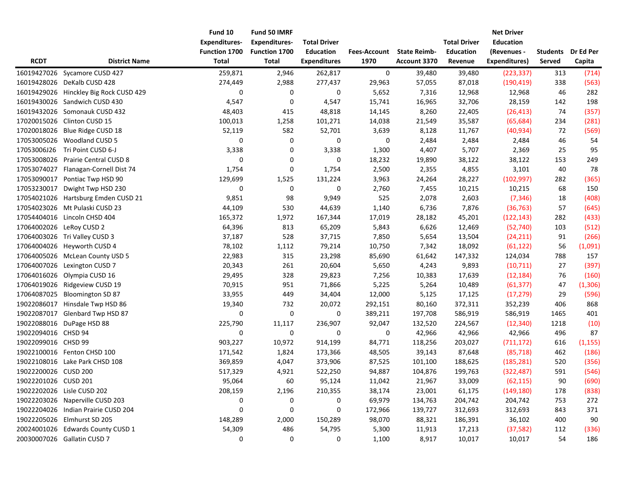| <b>RCDT</b>          | <b>District Name</b>                | Fund 10<br><b>Expenditures-</b><br>Function 1700<br><b>Total</b> | Fund 50 IMRF<br><b>Expenditures-</b><br>Function 1700<br>Total | <b>Total Driver</b><br><b>Education</b><br><b>Expenditures</b> | <b>Fees-Account</b><br>1970 | <b>State Reimb-</b><br>Account 3370 | <b>Total Driver</b><br><b>Education</b><br>Revenue | <b>Net Driver</b><br><b>Education</b><br>(Revenues -<br><b>Expenditures)</b> | <b>Students</b><br>Served | Dr Ed Per<br>Capita |
|----------------------|-------------------------------------|------------------------------------------------------------------|----------------------------------------------------------------|----------------------------------------------------------------|-----------------------------|-------------------------------------|----------------------------------------------------|------------------------------------------------------------------------------|---------------------------|---------------------|
| 16019427026          | Sycamore CUSD 427                   | 259,871                                                          | 2,946                                                          | 262,817                                                        | 0                           | 39,480                              | 39,480                                             | (223, 337)                                                                   | 313                       | (714)               |
| 16019428026          | DeKalb CUSD 428                     | 274,449                                                          | 2,988                                                          | 277,437                                                        | 29,963                      | 57,055                              | 87,018                                             | (190, 419)                                                                   | 338                       | (563)               |
| 16019429026          | Hinckley Big Rock CUSD 429          | 0                                                                | 0                                                              | 0                                                              | 5,652                       | 7,316                               | 12,968                                             | 12,968                                                                       | 46                        | 282                 |
| 16019430026          | Sandwich CUSD 430                   | 4,547                                                            | 0                                                              | 4,547                                                          | 15,741                      | 16,965                              | 32,706                                             | 28,159                                                                       | 142                       | 198                 |
| 16019432026          | Somonauk CUSD 432                   | 48,403                                                           | 415                                                            | 48,818                                                         | 14,145                      | 8,260                               | 22,405                                             | (26, 413)                                                                    | 74                        | (357)               |
| 17020015026          | Clinton CUSD 15                     | 100,013                                                          | 1,258                                                          | 101,271                                                        | 14,038                      | 21,549                              | 35,587                                             | (65, 684)                                                                    | 234                       | (281)               |
| 17020018026          | Blue Ridge CUSD 18                  | 52,119                                                           | 582                                                            | 52,701                                                         | 3,639                       | 8,128                               | 11,767                                             | (40, 934)                                                                    | 72                        | (569)               |
|                      | 17053005026 Woodland CUSD 5         | 0                                                                | 0                                                              | 0                                                              | 0                           | 2,484                               | 2,484                                              | 2,484                                                                        | 46                        | 54                  |
| 17053006J26          | Tri Point CUSD 6-J                  | 3,338                                                            | 0                                                              | 3,338                                                          | 1,300                       | 4,407                               | 5,707                                              | 2,369                                                                        | 25                        | 95                  |
| 17053008026          | Prairie Central CUSD 8              | 0                                                                | 0                                                              | 0                                                              | 18,232                      | 19,890                              | 38,122                                             | 38,122                                                                       | 153                       | 249                 |
| 17053074027          | Flanagan-Cornell Dist 74            | 1,754                                                            | 0                                                              | 1,754                                                          | 2,500                       | 2,355                               | 4,855                                              | 3,101                                                                        | 40                        | 78                  |
| 17053090017          | Pontiac Twp HSD 90                  | 129,699                                                          | 1,525                                                          | 131,224                                                        | 3,963                       | 24,264                              | 28,227                                             | (102, 997)                                                                   | 282                       | (365)               |
| 17053230017          | Dwight Twp HSD 230                  | 0                                                                | 0                                                              | 0                                                              | 2,760                       | 7,455                               | 10,215                                             | 10,215                                                                       | 68                        | 150                 |
|                      | 17054021026 Hartsburg Emden CUSD 21 | 9,851                                                            | 98                                                             | 9,949                                                          | 525                         | 2,078                               | 2,603                                              | (7, 346)                                                                     | 18                        | (408)               |
|                      | 17054023026 Mt Pulaski CUSD 23      | 44,109                                                           | 530                                                            | 44,639                                                         | 1,140                       | 6,736                               | 7,876                                              | (36, 763)                                                                    | 57                        | (645)               |
|                      | 17054404016 Lincoln CHSD 404        | 165,372                                                          | 1,972                                                          | 167,344                                                        | 17,019                      | 28,182                              | 45,201                                             | (122, 143)                                                                   | 282                       | (433)               |
|                      | 17064002026 LeRoy CUSD 2            | 64,396                                                           | 813                                                            | 65,209                                                         | 5,843                       | 6,626                               | 12,469                                             | (52, 740)                                                                    | 103                       | (512)               |
| 17064003026          | Tri Valley CUSD 3                   | 37,187                                                           | 528                                                            | 37,715                                                         | 7,850                       | 5,654                               | 13,504                                             | (24, 211)                                                                    | 91                        | (266)               |
| 17064004026          | Heyworth CUSD 4                     | 78,102                                                           | 1,112                                                          | 79,214                                                         | 10,750                      | 7,342                               | 18,092                                             | (61, 122)                                                                    | 56                        | (1,091)             |
|                      | 17064005026 McLean County USD 5     | 22,983                                                           | 315                                                            | 23,298                                                         | 85,690                      | 61,642                              | 147,332                                            | 124,034                                                                      | 788                       | 157                 |
| 17064007026          | Lexington CUSD 7                    | 20,343                                                           | 261                                                            | 20,604                                                         | 5,650                       | 4,243                               | 9,893                                              | (10, 711)                                                                    | 27                        | (397)               |
| 17064016026          | Olympia CUSD 16                     | 29,495                                                           | 328                                                            | 29,823                                                         | 7,256                       | 10,383                              | 17,639                                             | (12, 184)                                                                    | 76                        | (160)               |
| 17064019026          | Ridgeview CUSD 19                   | 70,915                                                           | 951                                                            | 71,866                                                         | 5,225                       | 5,264                               | 10,489                                             | (61, 377)                                                                    | 47                        | (1, 306)            |
| 17064087025          | Bloomington SD 87                   | 33,955                                                           | 449                                                            | 34,404                                                         | 12,000                      | 5,125                               | 17,125                                             | (17, 279)                                                                    | 29                        | (596)               |
|                      | 19022086017 Hinsdale Twp HSD 86     | 19,340                                                           | 732                                                            | 20,072                                                         | 292,151                     | 80,160                              | 372,311                                            | 352,239                                                                      | 406                       | 868                 |
| 19022087017          | Glenbard Twp HSD 87                 | $\mathbf 0$                                                      | 0                                                              | 0                                                              | 389,211                     | 197,708                             | 586,919                                            | 586,919                                                                      | 1465                      | 401                 |
|                      | 19022088016 DuPage HSD 88           | 225,790                                                          | 11,117                                                         | 236,907                                                        | 92,047                      | 132,520                             | 224,567                                            | (12, 340)                                                                    | 1218                      | (10)                |
| 19022094016 CHSD 94  |                                     | 0                                                                | 0                                                              | 0                                                              | 0                           | 42,966                              | 42,966                                             | 42,966                                                                       | 496                       | 87                  |
| 19022099016 CHSD 99  |                                     | 903,227                                                          | 10,972                                                         | 914,199                                                        | 84,771                      | 118,256                             | 203,027                                            | (711, 172)                                                                   | 616                       | (1, 155)            |
|                      | 19022100016 Fenton CHSD 100         | 171,542                                                          | 1,824                                                          | 173,366                                                        | 48,505                      | 39,143                              | 87,648                                             | (85, 718)                                                                    | 462                       | (186)               |
|                      | 19022108016 Lake Park CHSD 108      | 369,859                                                          | 4,047                                                          | 373,906                                                        | 87,525                      | 101,100                             | 188,625                                            | (185, 281)                                                                   | 520                       | (356)               |
| 19022200026 CUSD 200 |                                     | 517,329                                                          | 4,921                                                          | 522,250                                                        | 94,887                      | 104,876                             | 199,763                                            | (322, 487)                                                                   | 591                       | (546)               |
| 19022201026 CUSD 201 |                                     | 95,064                                                           | 60                                                             | 95,124                                                         | 11,042                      | 21,967                              | 33,009                                             | (62, 115)                                                                    | 90                        | (690)               |
|                      | 19022202026 Lisle CUSD 202          | 208,159                                                          | 2,196                                                          | 210,355                                                        | 38,174                      | 23,001                              | 61,175                                             | (149, 180)                                                                   | 178                       | (838)               |
|                      | 19022203026 Naperville CUSD 203     | 0                                                                | 0                                                              | 0                                                              | 69,979                      | 134,763                             | 204,742                                            | 204,742                                                                      | 753                       | 272                 |
|                      | 19022204026 Indian Prairie CUSD 204 | 0                                                                | 0                                                              | 0                                                              | 172,966                     | 139,727                             | 312,693                                            | 312,693                                                                      | 843                       | 371                 |
|                      | 19022205026 Elmhurst SD 205         | 148,289                                                          | 2,000                                                          | 150,289                                                        | 98,070                      | 88,321                              | 186,391                                            | 36,102                                                                       | 400                       | 90                  |
|                      | 20024001026 Edwards County CUSD 1   | 54,309                                                           | 486                                                            | 54,795                                                         | 5,300                       | 11,913                              | 17,213                                             | (37, 582)                                                                    | 112                       | (336)               |
|                      | 20030007026 Gallatin CUSD 7         | 0                                                                | 0                                                              | 0                                                              | 1,100                       | 8,917                               | 10,017                                             | 10,017                                                                       | 54                        | 186                 |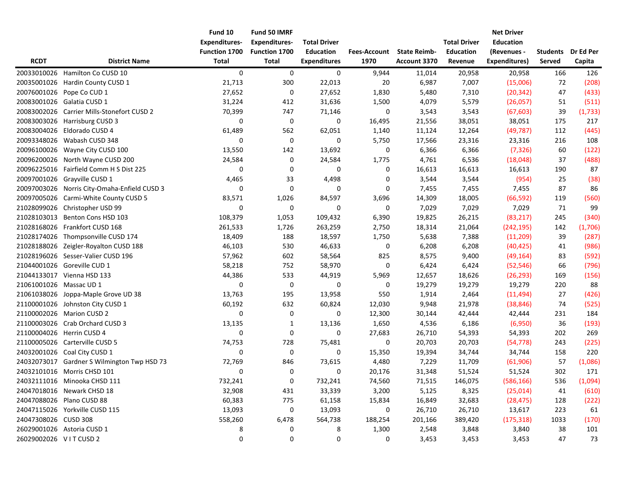|                         |                                              | Fund 10<br><b>Expenditures-</b> | Fund 50 IMRF<br><b>Expenditures-</b> | <b>Total Driver</b> |                     |                     | <b>Total Driver</b> | <b>Net Driver</b><br><b>Education</b> |                 |           |
|-------------------------|----------------------------------------------|---------------------------------|--------------------------------------|---------------------|---------------------|---------------------|---------------------|---------------------------------------|-----------------|-----------|
|                         |                                              | Function 1700                   | Function 1700                        | <b>Education</b>    | <b>Fees-Account</b> | <b>State Reimb-</b> | <b>Education</b>    | (Revenues -                           | <b>Students</b> | Dr Ed Per |
| <b>RCDT</b>             | <b>District Name</b>                         | <b>Total</b>                    | <b>Total</b>                         | <b>Expenditures</b> | 1970                | Account 3370        | Revenue             | Expenditures)                         | Served          | Capita    |
| 20033010026             | Hamilton Co CUSD 10                          | 0                               | 0                                    | 0                   | 9,944               | 11,014              | 20,958              | 20,958                                | 166             | 126       |
| 20035001026             | Hardin County CUSD 1                         | 21,713                          | 300                                  | 22,013              | 20                  | 6,987               | 7,007               | (15,006)                              | 72              | (208)     |
| 20076001026             | Pope Co CUD 1                                | 27,652                          | 0                                    | 27,652              | 1,830               | 5,480               | 7,310               | (20, 342)                             | 47              | (433)     |
| 20083001026             | Galatia CUSD 1                               | 31,224                          | 412                                  | 31,636              | 1,500               | 4,079               | 5,579               | (26,057)                              | 51              | (511)     |
| 20083002026             | Carrier Mills-Stonefort CUSD 2               | 70,399                          | 747                                  | 71,146              | 0                   | 3,543               | 3,543               | (67, 603)                             | 39              | (1,733)   |
|                         | 20083003026 Harrisburg CUSD 3                | 0                               | 0                                    | 0                   | 16,495              | 21,556              | 38,051              | 38,051                                | 175             | 217       |
|                         | 20083004026 Eldorado CUSD 4                  | 61,489                          | 562                                  | 62,051              | 1,140               | 11,124              | 12,264              | (49, 787)                             | 112             | (445)     |
| 20093348026             | Wabash CUSD 348                              | 0                               | 0                                    | 0                   | 5,750               | 17,566              | 23,316              | 23,316                                | 216             | 108       |
|                         | 20096100026 Wayne City CUSD 100              | 13,550                          | 142                                  | 13,692              | 0                   | 6,366               | 6,366               | (7, 326)                              | 60              | (122)     |
| 20096200026             | North Wayne CUSD 200                         | 24,584                          | 0                                    | 24,584              | 1,775               | 4,761               | 6,536               | (18,048)                              | 37              | (488)     |
|                         | 20096225016 Fairfield Comm H S Dist 225      | 0                               | 0                                    | 0                   | 0                   | 16,613              | 16,613              | 16,613                                | 190             | 87        |
| 20097001026             | Grayville CUSD 1                             | 4,465                           | 33                                   | 4,498               | 0                   | 3,544               | 3,544               | (954)                                 | 25              | (38)      |
|                         | 20097003026 Norris City-Omaha-Enfield CUSD 3 | 0                               | 0                                    | 0                   | 0                   | 7,455               | 7,455               | 7,455                                 | 87              | 86        |
|                         | 20097005026 Carmi-White County CUSD 5        | 83,571                          | 1,026                                | 84,597              | 3,696               | 14,309              | 18,005              | (66, 592)                             | 119             | (560)     |
|                         | 21028099026 Christopher USD 99               | 0                               | 0                                    | 0                   | 0                   | 7,029               | 7,029               | 7,029                                 | 71              | 99        |
| 21028103013             | Benton Cons HSD 103                          | 108,379                         | 1,053                                | 109,432             | 6,390               | 19,825              | 26,215              | (83, 217)                             | 245             | (340)     |
| 21028168026             | Frankfort CUSD 168                           | 261,533                         | 1,726                                | 263,259             | 2,750               | 18,314              | 21,064              | (242, 195)                            | 142             | (1,706)   |
|                         | 21028174026 Thompsonville CUSD 174           | 18,409                          | 188                                  | 18,597              | 1,750               | 5,638               | 7,388               | (11, 209)                             | 39              | (287)     |
|                         | 21028188026 Zeigler-Royalton CUSD 188        | 46,103                          | 530                                  | 46,633              | $\boldsymbol{0}$    | 6,208               | 6,208               | (40, 425)                             | 41              | (986)     |
| 21028196026             | Sesser-Valier CUSD 196                       | 57,962                          | 602                                  | 58,564              | 825                 | 8,575               | 9,400               | (49, 164)                             | 83              | (592)     |
|                         | 21044001026 Goreville CUD 1                  | 58,218                          | 752                                  | 58,970              | $\boldsymbol{0}$    | 6,424               | 6,424               | (52, 546)                             | 66              | (796)     |
|                         | 21044133017 Vienna HSD 133                   | 44,386                          | 533                                  | 44,919              | 5,969               | 12,657              | 18,626              | (26, 293)                             | 169             | (156)     |
| 21061001026 Massac UD 1 |                                              | $\mathbf 0$                     | $\pmb{0}$                            | 0                   | $\boldsymbol{0}$    | 19,279              | 19,279              | 19,279                                | 220             | 88        |
|                         | 21061038026 Joppa-Maple Grove UD 38          | 13,763                          | 195                                  | 13,958              | 550                 | 1,914               | 2,464               | (11, 494)                             | 27              | (426)     |
|                         | 21100001026 Johnston City CUSD 1             | 60,192                          | 632                                  | 60,824              | 12,030              | 9,948               | 21,978              | (38, 846)                             | 74              | (525)     |
|                         | 21100002026 Marion CUSD 2                    | $\mathbf 0$                     | 0                                    | 0                   | 12,300              | 30,144              | 42,444              | 42,444                                | 231             | 184       |
|                         | 21100003026 Crab Orchard CUSD 3              | 13,135                          | 1                                    | 13,136              | 1,650               | 4,536               | 6,186               | (6,950)                               | 36              | (193)     |
|                         | 21100004026 Herrin CUSD 4                    | 0                               | $\pmb{0}$                            | 0                   | 27,683              | 26,710              | 54,393              | 54,393                                | 202             | 269       |
|                         | 21100005026 Carterville CUSD 5               | 74,753                          | 728                                  | 75,481              | 0                   | 20,703              | 20,703              | (54, 778)                             | 243             | (225)     |
|                         | 24032001026 Coal City CUSD 1                 | 0                               | 0                                    | 0                   | 15,350              | 19,394              | 34,744              | 34,744                                | 158             | 220       |
|                         | 24032073017 Gardner S Wilmington Twp HSD 73  | 72,769                          | 846                                  | 73,615              | 4,480               | 7,229               | 11,709              | (61, 906)                             | 57              | (1,086)   |
|                         | 24032101016 Morris CHSD 101                  | 0                               | 0                                    | 0                   | 20,176              | 31,348              | 51,524              | 51,524                                | 302             | 171       |
|                         | 24032111016 Minooka CHSD 111                 | 732,241                         | $\pmb{0}$                            | 732,241             | 74,560              | 71,515              | 146,075             | (586, 166)                            | 536             | (1,094)   |
|                         | 24047018016 Newark CHSD 18                   | 32,908                          | 431                                  | 33,339              | 3,200               | 5,125               | 8,325               | (25, 014)                             | 41              | (610)     |
|                         | 24047088026 Plano CUSD 88                    | 60,383                          | 775                                  | 61,158              | 15,834              | 16,849              | 32,683              | (28, 475)                             | 128             | (222)     |
|                         | 24047115026 Yorkville CUSD 115               | 13,093                          | 0                                    | 13,093              | 0                   | 26,710              | 26,710              | 13,617                                | 223             | 61        |
| 24047308026 CUSD 308    |                                              | 558,260                         | 6,478                                | 564,738             | 188,254             | 201,166             | 389,420             | (175, 318)                            | 1033            | (170)     |
|                         | 26029001026 Astoria CUSD 1                   | 8                               | 0                                    | 8                   | 1,300               | 2,548               | 3,848               | 3,840                                 | 38              | 101       |
| 26029002026 VITCUSD 2   |                                              | $\boldsymbol{0}$                | $\boldsymbol{0}$                     | $\boldsymbol{0}$    | 0                   | 3,453               | 3,453               | 3,453                                 | 47              | 73        |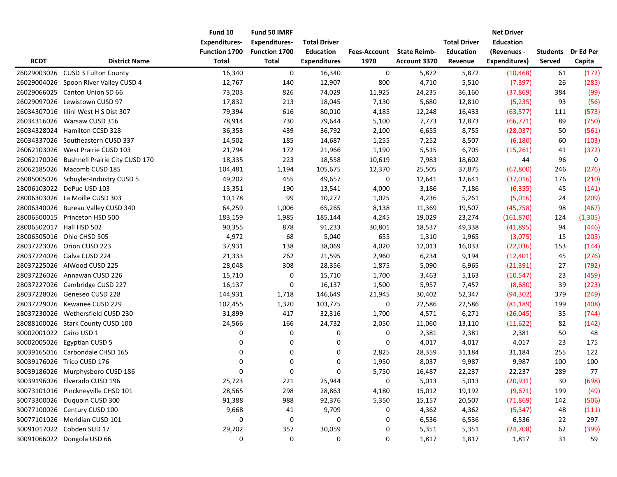|                          |                                       | Fund 10<br><b>Expenditures-</b> | Fund 50 IMRF<br><b>Expenditures-</b> | <b>Total Driver</b> |              |                     | <b>Total Driver</b> | <b>Net Driver</b><br><b>Education</b> |                 |           |
|--------------------------|---------------------------------------|---------------------------------|--------------------------------------|---------------------|--------------|---------------------|---------------------|---------------------------------------|-----------------|-----------|
|                          |                                       | Function 1700                   | Function 1700                        | <b>Education</b>    | Fees-Account | <b>State Reimb-</b> | <b>Education</b>    | (Revenues -                           | <b>Students</b> | Dr Ed Per |
| <b>RCDT</b>              | <b>District Name</b>                  | <b>Total</b>                    | Total                                | <b>Expenditures</b> | 1970         | Account 3370        | Revenue             | Expenditures)                         | Served          | Capita    |
|                          | 26029003026 CUSD 3 Fulton County      | 16,340                          | 0                                    | 16,340              | 0            | 5,872               | 5,872               | (10, 468)                             | 61              | (172)     |
| 26029004026              | Spoon River Valley CUSD 4             | 12,767                          | 140                                  | 12,907              | 800          | 4,710               | 5,510               | (7, 397)                              | 26              | (285)     |
|                          | 26029066025 Canton Union SD 66        | 73,203                          | 826                                  | 74,029              | 11,925       | 24,235              | 36,160              | (37, 869)                             | 384             | (99)      |
| 26029097026              | Lewistown CUSD 97                     | 17,832                          | 213                                  | 18,045              | 7,130        | 5,680               | 12,810              | (5, 235)                              | 93              | (56)      |
| 26034307016              | Illini West H S Dist 307              | 79,394                          | 616                                  | 80,010              | 4,185        | 12,248              | 16,433              | (63, 577)                             | 111             | (573)     |
|                          | 26034316026 Warsaw CUSD 316           | 78,914                          | 730                                  | 79,644              | 5,100        | 7,773               | 12,873              | (66, 771)                             | 89              | (750)     |
|                          | 26034328024 Hamilton CCSD 328         | 36,353                          | 439                                  | 36,792              | 2,100        | 6,655               | 8,755               | (28,037)                              | 50              | (561)     |
|                          | 26034337026 Southeastern CUSD 337     | 14,502                          | 185                                  | 14,687              | 1,255        | 7,252               | 8,507               | (6, 180)                              | 60              | (103)     |
|                          | 26062103026 West Prairie CUSD 103     | 21,794                          | 172                                  | 21,966              | 1,190        | 5,515               | 6,705               | (15, 261)                             | 41              | (372)     |
| 26062170026              | <b>Bushnell Prairie City CUSD 170</b> | 18,335                          | 223                                  | 18,558              | 10,619       | 7,983               | 18,602              | 44                                    | 96              | $\pmb{0}$ |
|                          | 26062185026 Macomb CUSD 185           | 104,481                         | 1,194                                | 105,675             | 12,370       | 25,505              | 37,875              | (67, 800)                             | 246             | (276)     |
|                          | 26085005026 Schuyler-Industry CUSD 5  | 49,202                          | 455                                  | 49,657              | 0            | 12,641              | 12,641              | (37,016)                              | 176             | (210)     |
|                          | 28006103022 DePue USD 103             | 13,351                          | 190                                  | 13,541              | 4,000        | 3,186               | 7,186               | (6, 355)                              | 45              | (141)     |
|                          | 28006303026 La Moille CUSD 303        | 10,178                          | 99                                   | 10,277              | 1,025        | 4,236               | 5,261               | (5,016)                               | 24              | (209)     |
|                          | 28006340026 Bureau Valley CUSD 340    | 64,259                          | 1,006                                | 65,265              | 8,138        | 11,369              | 19,507              | (45, 758)                             | 98              | (467)     |
|                          | 28006500015 Princeton HSD 500         | 183,159                         | 1,985                                | 185,144             | 4,245        | 19,029              | 23,274              | (161, 870)                            | 124             | (1, 305)  |
| 28006502017 Hall HSD 502 |                                       | 90,355                          | 878                                  | 91,233              | 30,801       | 18,537              | 49,338              | (41,895)                              | 94              | (446)     |
|                          | 28006505016 Ohio CHSD 505             | 4,972                           | 68                                   | 5,040               | 655          | 1,310               | 1,965               | (3,075)                               | 15              | (205)     |
|                          | 28037223026 Orion CUSD 223            | 37,931                          | 138                                  | 38,069              | 4,020        | 12,013              | 16,033              | (22,036)                              | 153             | (144)     |
|                          | 28037224026 Galva CUSD 224            | 21,333                          | 262                                  | 21,595              | 2,960        | 6,234               | 9,194               | (12, 401)                             | 45              | (276)     |
| 28037225026              | AlWood CUSD 225                       | 28,048                          | 308                                  | 28,356              | 1,875        | 5,090               | 6,965               | (21, 391)                             | 27              | (792)     |
|                          | 28037226026 Annawan CUSD 226          | 15,710                          | 0                                    | 15,710              | 1,700        | 3,463               | 5,163               | (10, 547)                             | 23              | (459)     |
|                          | 28037227026 Cambridge CUSD 227        | 16,137                          | $\pmb{0}$                            | 16,137              | 1,500        | 5,957               | 7,457               | (8,680)                               | 39              | (223)     |
|                          | 28037228026 Geneseo CUSD 228          | 144,931                         | 1,718                                | 146,649             | 21,945       | 30,402              | 52,347              | (94, 302)                             | 379             | (249)     |
|                          | 28037229026 Kewanee CUSD 229          | 102,455                         | 1,320                                | 103,775             | 0            | 22,586              | 22,586              | (81, 189)                             | 199             | (408)     |
|                          | 28037230026 Wethersfield CUSD 230     | 31,899                          | 417                                  | 32,316              | 1,700        | 4,571               | 6,271               | (26, 045)                             | 35              | (744)     |
|                          | 28088100026 Stark County CUSD 100     | 24,566                          | 166                                  | 24,732              | 2,050        | 11,060              | 13,110              | (11, 622)                             | 82              | (142)     |
| 30002001022 Cairo USD 1  |                                       | 0                               | 0                                    | 0                   | 0            | 2,381               | 2,381               | 2,381                                 | 50              | 48        |
|                          | 30002005026 Egyptian CUSD 5           | 0                               | 0                                    | 0                   | 0            | 4,017               | 4,017               | 4,017                                 | 23              | 175       |
|                          | 30039165016 Carbondale CHSD 165       | 0                               | 0                                    | 0                   | 2,825        | 28,359              | 31,184              | 31,184                                | 255             | 122       |
|                          | 30039176026 Trico CUSD 176            | 0                               | 0                                    | 0                   | 1,950        | 8,037               | 9,987               | 9,987                                 | 100             | 100       |
|                          | 30039186026 Murphysboro CUSD 186      | $\mathbf 0$                     | $\mathbf 0$                          | 0                   | 5,750        | 16,487              | 22,237              | 22,237                                | 289             | 77        |
|                          | 30039196026 Elverado CUSD 196         | 25,723                          | 221                                  | 25,944              | $\pmb{0}$    | 5,013               | 5,013               | (20, 931)                             | $30\,$          | (698)     |
|                          | 30073101016 Pinckneyville CHSD 101    | 28,565                          | 298                                  | 28,863              | 4,180        | 15,012              | 19,192              | (9,671)                               | 199             | (49)      |
|                          | 30073300026 Duquoin CUSD 300          | 91,388                          | 988                                  | 92,376              | 5,350        | 15,157              | 20,507              | (71, 869)                             | 142             | (506)     |
|                          | 30077100026 Century CUSD 100          | 9,668                           | 41                                   | 9,709               | 0            | 4,362               | 4,362               | (5, 347)                              | 48              | (111)     |
|                          | 30077101026 Meridian CUSD 101         | 0                               | $\pmb{0}$                            | $\pmb{0}$           | 0            | 6,536               | 6,536               | 6,536                                 | 22              | 297       |
|                          | 30091017022 Cobden SUD 17             | 29,702                          | 357                                  | 30,059              | 0            | 5,351               | 5,351               | (24, 708)                             | 62              | (399)     |
|                          | 30091066022 Dongola USD 66            | 0                               | 0                                    | 0                   | 0            | 1,817               | 1,817               | 1,817                                 | 31              | 59        |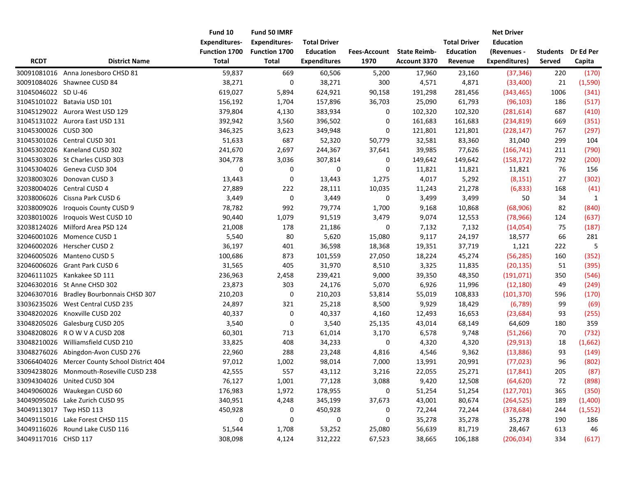|                         |                                               | Fund 10<br><b>Expenditures-</b> | Fund 50 IMRF<br><b>Expenditures-</b> | <b>Total Driver</b> |              |                     | <b>Total Driver</b> | <b>Net Driver</b><br><b>Education</b> |                 |           |
|-------------------------|-----------------------------------------------|---------------------------------|--------------------------------------|---------------------|--------------|---------------------|---------------------|---------------------------------------|-----------------|-----------|
|                         |                                               | Function 1700                   | Function 1700                        | <b>Education</b>    | Fees-Account | <b>State Reimb-</b> | <b>Education</b>    | (Revenues -                           | <b>Students</b> | Dr Ed Per |
| <b>RCDT</b>             | <b>District Name</b>                          | <b>Total</b>                    | <b>Total</b>                         | <b>Expenditures</b> | 1970         | Account 3370        | Revenue             | Expenditures)                         | Served          | Capita    |
|                         | 30091081016 Anna Jonesboro CHSD 81            | 59,837                          | 669                                  | 60,506              | 5,200        | 17,960              | 23,160              | (37, 346)                             | 220             | (170)     |
|                         | 30091084026 Shawnee CUSD 84                   | 38,271                          | 0                                    | 38,271              | 300          | 4,571               | 4,871               | (33,400)                              | 21              | (1,590)   |
| 31045046022 SD U-46     |                                               | 619,027                         | 5,894                                | 624,921             | 90,158       | 191,298             | 281,456             | (343, 465)                            | 1006            | (341)     |
| 31045101022             | Batavia USD 101                               | 156,192                         | 1,704                                | 157,896             | 36,703       | 25,090              | 61,793              | (96, 103)                             | 186             | (517)     |
|                         | 31045129022 Aurora West USD 129               | 379,804                         | 4,130                                | 383,934             | 0            | 102,320             | 102,320             | (281, 614)                            | 687             | (410)     |
|                         | 31045131022 Aurora East USD 131               | 392,942                         | 3,560                                | 396,502             | 0            | 161,683             | 161,683             | (234, 819)                            | 669             | (351)     |
| 31045300026 CUSD 300    |                                               | 346,325                         | 3,623                                | 349,948             | 0            | 121,801             | 121,801             | (228, 147)                            | 767             | (297)     |
|                         | 31045301026 Central CUSD 301                  | 51,633                          | 687                                  | 52,320              | 50,779       | 32,581              | 83,360              | 31,040                                | 299             | 104       |
|                         | 31045302026 Kaneland CUSD 302                 | 241,670                         | 2,697                                | 244,367             | 37,641       | 39,985              | 77,626              | (166, 741)                            | 211             | (790)     |
|                         | 31045303026 St Charles CUSD 303               | 304,778                         | 3,036                                | 307,814             | 0            | 149,642             | 149,642             | (158, 172)                            | 792             | (200)     |
| 31045304026             | Geneva CUSD 304                               | 0                               | 0                                    | 0                   | 0            | 11,821              | 11,821              | 11,821                                | 76              | 156       |
| 32038003026             | Donovan CUSD 3                                | 13,443                          | 0                                    | 13,443              | 1,275        | 4,017               | 5,292               | (8, 151)                              | 27              | (302)     |
|                         | 32038004026 Central CUSD 4                    | 27,889                          | 222                                  | 28,111              | 10,035       | 11,243              | 21,278              | (6, 833)                              | 168             | (41)      |
|                         | 32038006026 Cissna Park CUSD 6                | 3,449                           | 0                                    | 3,449               | 0            | 3,499               | 3,499               | 50                                    | 34              | 1         |
| 32038009026             | Iroquois County CUSD 9                        | 78,782                          | 992                                  | 79,774              | 1,700        | 9,168               | 10,868              | (68,906)                              | 82              | (840)     |
| 32038010026             | Iroquois West CUSD 10                         | 90,440                          | 1,079                                | 91,519              | 3,479        | 9,074               | 12,553              | (78, 966)                             | 124             | (637)     |
|                         | 32038124026 Milford Area PSD 124              | 21,008                          | 178                                  | 21,186              | 0            | 7,132               | 7,132               | (14,054)                              | 75              | (187)     |
| 32046001026             | Momence CUSD 1                                | 5,540                           | 80                                   | 5,620               | 15,080       | 9,117               | 24,197              | 18,577                                | 66              | 281       |
|                         | 32046002026 Herscher CUSD 2                   | 36,197                          | 401                                  | 36,598              | 18,368       | 19,351              | 37,719              | 1,121                                 | 222             | 5         |
| 32046005026             | <b>Manteno CUSD 5</b>                         | 100,686                         | 873                                  | 101,559             | 27,050       | 18,224              | 45,274              | (56, 285)                             | 160             | (352)     |
|                         | 32046006026 Grant Park CUSD 6                 | 31,565                          | 405                                  | 31,970              | 8,510        | 3,325               | 11,835              | (20, 135)                             | 51              | (395)     |
| 32046111025             | Kankakee SD 111                               | 236,963                         | 2,458                                | 239,421             | 9,000        | 39,350              | 48,350              | (191, 071)                            | 350             | (546)     |
|                         | 32046302016 St Anne CHSD 302                  | 23,873                          | 303                                  | 24,176              | 5,070        | 6,926               | 11,996              | (12, 180)                             | 49              | (249)     |
|                         | 32046307016 Bradley Bourbonnais CHSD 307      | 210,203                         | $\pmb{0}$                            | 210,203             | 53,814       | 55,019              | 108,833             | (101, 370)                            | 596             | (170)     |
| 33036235026             | West Central CUSD 235                         | 24,897                          | 321                                  | 25,218              | 8,500        | 9,929               | 18,429              | (6, 789)                              | 99              | (69)      |
|                         | 33048202026 Knoxville CUSD 202                | 40,337                          | 0                                    | 40,337              | 4,160        | 12,493              | 16,653              | (23, 684)                             | 93              | (255)     |
|                         | 33048205026 Galesburg CUSD 205                | 3,540                           | 0                                    | 3,540               | 25,135       | 43,014              | 68,149              | 64,609                                | 180             | 359       |
|                         | 33048208026 ROWVACUSD 208                     | 60,301                          | 713                                  | 61,014              | 3,170        | 6,578               | 9,748               | (51, 266)                             | 70              | (732)     |
| 33048210026             | Williamsfield CUSD 210                        | 33,825                          | 408                                  | 34,233              | 0            | 4,320               | 4,320               | (29, 913)                             | 18              | (1,662)   |
|                         | 33048276026 Abingdon-Avon CUSD 276            | 22,960                          | 288                                  | 23,248              | 4,816        | 4,546               | 9,362               | (13,886)                              | 93              | (149)     |
|                         | 33066404026 Mercer County School District 404 | 97,012                          | 1,002                                | 98,014              | 7,000        | 13,991              | 20,991              | (77, 023)                             | 96              | (802)     |
|                         | 33094238026 Monmouth-Roseville CUSD 238       | 42,555                          | 557                                  | 43,112              | 3,216        | 22,055              | 25,271              | (17, 841)                             | 205             | (87)      |
|                         | 33094304026 United CUSD 304                   | 76,127                          | 1,001                                | 77,128              | 3,088        | 9,420               | 12,508              | (64, 620)                             | 72              | (898)     |
|                         | 34049060026 Waukegan CUSD 60                  | 176,983                         | 1,972                                | 178,955             | 0            | 51,254              | 51,254              | (127, 701)                            | 365             | (350)     |
|                         | 34049095026 Lake Zurich CUSD 95               | 340,951                         | 4,248                                | 345,199             | 37,673       | 43,001              | 80,674              | (264, 525)                            | 189             | (1,400)   |
| 34049113017 Twp HSD 113 |                                               | 450,928                         | 0                                    | 450,928             | 0            | 72,244              | 72,244              | (378, 684)                            | 244             | (1, 552)  |
|                         | 34049115016 Lake Forest CHSD 115              | 0                               | $\boldsymbol{0}$                     | 0                   | 0            | 35,278              | 35,278              | 35,278                                | 190             | 186       |
|                         | 34049116026 Round Lake CUSD 116               | 51,544                          | 1,708                                | 53,252              | 25,080       | 56,639              | 81,719              | 28,467                                | 613             | 46        |
| 34049117016 CHSD 117    |                                               | 308,098                         | 4,124                                | 312,222             | 67,523       | 38,665              | 106,188             | (206, 034)                            | 334             | (617)     |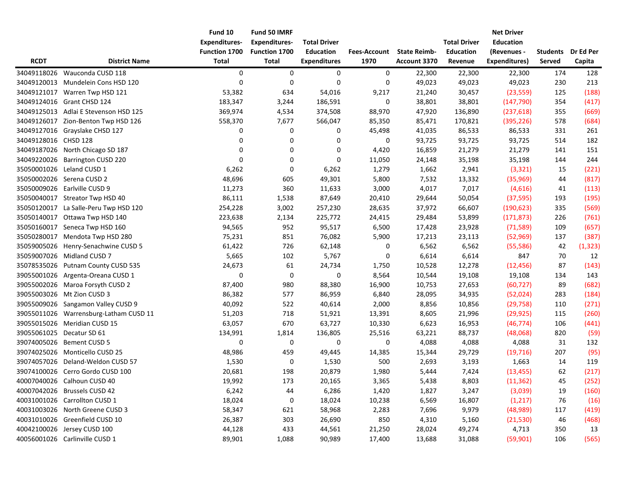| <b>RCDT</b>          | <b>District Name</b>                   | Fund 10<br><b>Expenditures-</b><br><b>Function 1700</b><br><b>Total</b> | Fund 50 IMRF<br><b>Expenditures-</b><br>Function 1700<br><b>Total</b> | <b>Total Driver</b><br><b>Education</b><br><b>Expenditures</b> | <b>Fees-Account</b><br>1970 | <b>State Reimb-</b><br>Account 3370 | <b>Total Driver</b><br><b>Education</b><br>Revenue | <b>Net Driver</b><br><b>Education</b><br>(Revenues -<br>Expenditures) | <b>Students</b><br>Served | Dr Ed Per<br>Capita |
|----------------------|----------------------------------------|-------------------------------------------------------------------------|-----------------------------------------------------------------------|----------------------------------------------------------------|-----------------------------|-------------------------------------|----------------------------------------------------|-----------------------------------------------------------------------|---------------------------|---------------------|
| 34049118026          | Wauconda CUSD 118                      | 0                                                                       | 0                                                                     | 0                                                              | 0                           | 22,300                              | 22,300                                             | 22,300                                                                | 174                       | 128                 |
| 34049120013          | Mundelein Cons HSD 120                 | $\mathbf 0$                                                             | $\mathbf 0$                                                           | $\mathbf 0$                                                    | 0                           | 49,023                              | 49,023                                             | 49,023                                                                | 230                       | 213                 |
| 34049121017          | Warren Twp HSD 121                     | 53,382                                                                  | 634                                                                   | 54,016                                                         | 9,217                       | 21,240                              | 30,457                                             | (23, 559)                                                             | 125                       | (188)               |
|                      | 34049124016 Grant CHSD 124             | 183,347                                                                 | 3,244                                                                 | 186,591                                                        | 0                           | 38,801                              | 38,801                                             | (147, 790)                                                            | 354                       | (417)               |
|                      | 34049125013 Adlai E Stevenson HSD 125  | 369,974                                                                 | 4,534                                                                 | 374,508                                                        | 88,970                      | 47,920                              | 136,890                                            | (237, 618)                                                            | 355                       | (669)               |
|                      | 34049126017 Zion-Benton Twp HSD 126    | 558,370                                                                 | 7,677                                                                 | 566,047                                                        | 85,350                      | 85,471                              | 170,821                                            | (395, 226)                                                            | 578                       | (684)               |
|                      | 34049127016 Grayslake CHSD 127         | 0                                                                       | 0                                                                     | 0                                                              | 45,498                      | 41,035                              | 86,533                                             | 86,533                                                                | 331                       | 261                 |
| 34049128016 CHSD 128 |                                        | 0                                                                       | 0                                                                     | 0                                                              | 0                           | 93,725                              | 93,725                                             | 93,725                                                                | 514                       | 182                 |
| 34049187026          | North Chicago SD 187                   | 0                                                                       | 0                                                                     | 0                                                              | 4,420                       | 16,859                              | 21,279                                             | 21,279                                                                | 141                       | 151                 |
| 34049220026          | Barrington CUSD 220                    | 0                                                                       | 0                                                                     | 0                                                              | 11,050                      | 24,148                              | 35,198                                             | 35,198                                                                | 144                       | 244                 |
| 35050001026          | Leland CUSD 1                          | 6,262                                                                   | $\boldsymbol{0}$                                                      | 6,262                                                          | 1,279                       | 1,662                               | 2,941                                              | (3, 321)                                                              | 15                        | (221)               |
| 35050002026          | Serena CUSD 2                          | 48,696                                                                  | 605                                                                   | 49,301                                                         | 5,800                       | 7,532                               | 13,332                                             | (35,969)                                                              | 44                        | (817)               |
|                      | 35050009026 Earlville CUSD 9           | 11,273                                                                  | 360                                                                   | 11,633                                                         | 3,000                       | 4,017                               | 7,017                                              | (4,616)                                                               | 41                        | (113)               |
|                      | 35050040017 Streator Twp HSD 40        | 86,111                                                                  | 1,538                                                                 | 87,649                                                         | 20,410                      | 29,644                              | 50,054                                             | (37, 595)                                                             | 193                       | (195)               |
| 35050120017          | La Salle-Peru Twp HSD 120              | 254,228                                                                 | 3,002                                                                 | 257,230                                                        | 28,635                      | 37,972                              | 66,607                                             | (190, 623)                                                            | 335                       | (569)               |
|                      | 35050140017 Ottawa Twp HSD 140         | 223,638                                                                 | 2,134                                                                 | 225,772                                                        | 24,415                      | 29,484                              | 53,899                                             | (171, 873)                                                            | 226                       | (761)               |
| 35050160017          | Seneca Twp HSD 160                     | 94,565                                                                  | 952                                                                   | 95,517                                                         | 6,500                       | 17,428                              | 23,928                                             | (71, 589)                                                             | 109                       | (657)               |
| 35050280017          | Mendota Twp HSD 280                    | 75,231                                                                  | 851                                                                   | 76,082                                                         | 5,900                       | 17,213                              | 23,113                                             | (52,969)                                                              | 137                       | (387)               |
| 35059005026          | Henry-Senachwine CUSD 5                | 61,422                                                                  | 726                                                                   | 62,148                                                         | 0                           | 6,562                               | 6,562                                              | (55, 586)                                                             | 42                        | (1, 323)            |
| 35059007026          | Midland CUSD 7                         | 5,665                                                                   | 102                                                                   | 5,767                                                          | 0                           | 6,614                               | 6,614                                              | 847                                                                   | 70                        | 12                  |
| 35078535026          | Putnam County CUSD 535                 | 24,673                                                                  | 61                                                                    | 24,734                                                         | 1,750                       | 10,528                              | 12,278                                             | (12, 456)                                                             | 87                        | (143)               |
| 39055001026          | Argenta-Oreana CUSD 1                  | 0                                                                       | $\pmb{0}$                                                             | 0                                                              | 8,564                       | 10,544                              | 19,108                                             | 19,108                                                                | 134                       | 143                 |
|                      | 39055002026 Maroa Forsyth CUSD 2       | 87,400                                                                  | 980                                                                   | 88,380                                                         | 16,900                      | 10,753                              | 27,653                                             | (60, 727)                                                             | 89                        | (682)               |
|                      | 39055003026 Mt Zion CUSD 3             | 86,382                                                                  | 577                                                                   | 86,959                                                         | 6,840                       | 28,095                              | 34,935                                             | (52,024)                                                              | 283                       | (184)               |
|                      | 39055009026 Sangamon Valley CUSD 9     | 40,092                                                                  | 522                                                                   | 40,614                                                         | 2,000                       | 8,856                               | 10,856                                             | (29, 758)                                                             | 110                       | (271)               |
|                      | 39055011026 Warrensburg-Latham CUSD 11 | 51,203                                                                  | 718                                                                   | 51,921                                                         | 13,391                      | 8,605                               | 21,996                                             | (29, 925)                                                             | 115                       | (260)               |
| 39055015026          | Meridian CUSD 15                       | 63,057                                                                  | 670                                                                   | 63,727                                                         | 10,330                      | 6,623                               | 16,953                                             | (46, 774)                                                             | 106                       | (441)               |
| 39055061025          | Decatur SD 61                          | 134,991                                                                 | 1,814                                                                 | 136,805                                                        | 25,516                      | 63,221                              | 88,737                                             | (48,068)                                                              | 820                       | (59)                |
| 39074005026          | Bement CUSD 5                          | 0                                                                       | 0                                                                     | 0                                                              | 0                           | 4,088                               | 4,088                                              | 4,088                                                                 | 31                        | 132                 |
| 39074025026          | Monticello CUSD 25                     | 48,986                                                                  | 459                                                                   | 49,445                                                         | 14,385                      | 15,344                              | 29,729                                             | (19, 716)                                                             | 207                       | (95)                |
| 39074057026          | Deland-Weldon CUSD 57                  | 1,530                                                                   | 0                                                                     | 1,530                                                          | 500                         | 2,693                               | 3,193                                              | 1,663                                                                 | 14                        | 119                 |
|                      | 39074100026 Cerro Gordo CUSD 100       | 20,681                                                                  | 198                                                                   | 20,879                                                         | 1,980                       | 5,444                               | 7,424                                              | (13, 455)                                                             | 62                        | (217)               |
|                      | 40007040026 Calhoun CUSD 40            | 19,992                                                                  | 173                                                                   | 20,165                                                         | 3,365                       | 5,438                               | 8,803                                              | (11, 362)                                                             | 45                        | (252)               |
|                      | 40007042026 Brussels CUSD 42           | 6,242                                                                   | 44                                                                    | 6,286                                                          | 1,420                       | 1,827                               | 3,247                                              | (3,039)                                                               | 19                        | (160)               |
|                      | 40031001026 Carrollton CUSD 1          | 18,024                                                                  | 0                                                                     | 18,024                                                         | 10,238                      | 6,569                               | 16,807                                             | (1, 217)                                                              | 76                        | (16)                |
|                      | 40031003026 North Greene CUSD 3        | 58,347                                                                  | 621                                                                   | 58,968                                                         | 2,283                       | 7,696                               | 9,979                                              | (48,989)                                                              | 117                       | (419)               |
|                      | 40031010026 Greenfield CUSD 10         | 26,387                                                                  | 303                                                                   | 26,690                                                         | 850                         | 4,310                               | 5,160                                              | (21, 530)                                                             | 46                        | (468)               |
|                      | 40042100026 Jersey CUSD 100            | 44,128                                                                  | 433                                                                   | 44,561                                                         | 21,250                      | 28,024                              | 49,274                                             | 4,713                                                                 | 350                       | 13                  |
|                      | 40056001026 Carlinville CUSD 1         | 89,901                                                                  | 1,088                                                                 | 90,989                                                         | 17,400                      | 13,688                              | 31,088                                             | (59, 901)                                                             | 106                       | (565)               |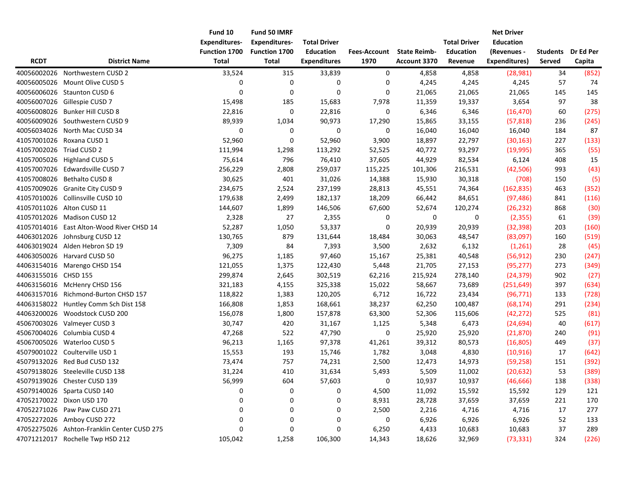|                          |                                             | Fund 10              | Fund 50 IMRF         |                     |                     |                     |                     | <b>Net Driver</b> |                 |           |
|--------------------------|---------------------------------------------|----------------------|----------------------|---------------------|---------------------|---------------------|---------------------|-------------------|-----------------|-----------|
|                          |                                             | <b>Expenditures-</b> | <b>Expenditures-</b> | <b>Total Driver</b> |                     |                     | <b>Total Driver</b> | <b>Education</b>  |                 |           |
|                          |                                             | Function 1700        | Function 1700        | <b>Education</b>    | <b>Fees-Account</b> | <b>State Reimb-</b> | <b>Education</b>    | (Revenues -       | <b>Students</b> | Dr Ed Per |
| <b>RCDT</b>              | <b>District Name</b>                        | <b>Total</b>         | <b>Total</b>         | <b>Expenditures</b> | 1970                | Account 3370        | Revenue             | Expenditures)     | Served          | Capita    |
| 40056002026              | Northwestern CUSD 2                         | 33,524               | 315                  | 33,839              | 0                   | 4,858               | 4,858               | (28,981)          | 34              | (852)     |
| 40056005026              | Mount Olive CUSD 5                          | 0                    | 0                    | 0                   | 0                   | 4,245               | 4,245               | 4,245             | 57              | 74        |
|                          | 40056006026 Staunton CUSD 6                 | $\mathbf 0$          | $\mathbf 0$          | 0                   | $\mathbf 0$         | 21,065              | 21,065              | 21,065            | 145             | 145       |
| 40056007026              | Gillespie CUSD 7                            | 15,498               | 185                  | 15,683              | 7,978               | 11,359              | 19,337              | 3,654             | 97              | 38        |
| 40056008026              | Bunker Hill CUSD 8                          | 22,816               | 0                    | 22,816              | 0                   | 6,346               | 6,346               | (16, 470)         | 60              | (275)     |
| 40056009026              | Southwestern CUSD 9                         | 89,939               | 1,034                | 90,973              | 17,290              | 15,865              | 33,155              | (57, 818)         | 236             | (245)     |
|                          | 40056034026 North Mac CUSD 34               | 0                    | 0                    | 0                   | 0                   | 16,040              | 16,040              | 16,040            | 184             | 87        |
|                          | 41057001026 Roxana CUSD 1                   | 52,960               | $\pmb{0}$            | 52,960              | 3,900               | 18,897              | 22,797              | (30, 163)         | 227             | (133)     |
| 41057002026 Triad CUSD 2 |                                             | 111,994              | 1,298                | 113,292             | 52,525              | 40,772              | 93,297              | (19,995)          | 365             | (55)      |
|                          | 41057005026 Highland CUSD 5                 | 75,614               | 796                  | 76,410              | 37,605              | 44,929              | 82,534              | 6,124             | 408             | 15        |
|                          | 41057007026 Edwardsville CUSD 7             | 256,229              | 2,808                | 259,037             | 115,225             | 101,306             | 216,531             | (42, 506)         | 993             | (43)      |
| 41057008026              | Bethalto CUSD 8                             | 30,625               | 401                  | 31,026              | 14,388              | 15,930              | 30,318              | (708)             | 150             | (5)       |
|                          | 41057009026 Granite City CUSD 9             | 234,675              | 2,524                | 237,199             | 28,813              | 45,551              | 74,364              | (162, 835)        | 463             | (352)     |
|                          | 41057010026 Collinsville CUSD 10            | 179,638              | 2,499                | 182,137             | 18,209              | 66,442              | 84,651              | (97, 486)         | 841             | (116)     |
|                          | 41057011026 Alton CUSD 11                   | 144,607              | 1,899                | 146,506             | 67,600              | 52,674              | 120,274             | (26, 232)         | 868             | (30)      |
|                          | 41057012026 Madison CUSD 12                 | 2,328                | 27                   | 2,355               | 0                   | 0                   | 0                   | (2, 355)          | 61              | (39)      |
|                          | 41057014016 East Alton-Wood River CHSD 14   | 52,287               | 1,050                | 53,337              | 0                   | 20,939              | 20,939              | (32, 398)         | 203             | (160)     |
|                          | 44063012026 Johnsburg CUSD 12               | 130,765              | 879                  | 131,644             | 18,484              | 30,063              | 48,547              | (83,097)          | 160             | (519)     |
|                          | 44063019024 Alden Hebron SD 19              | 7,309                | 84                   | 7,393               | 3,500               | 2,632               | 6,132               | (1,261)           | 28              | (45)      |
|                          | 44063050026 Harvard CUSD 50                 | 96,275               | 1,185                | 97,460              | 15,167              | 25,381              | 40,548              | (56, 912)         | 230             | (247)     |
|                          | 44063154016 Marengo CHSD 154                | 121,055              | 1,375                | 122,430             | 5,448               | 21,705              | 27,153              | (95, 277)         | 273             | (349)     |
| 44063155016 CHSD 155     |                                             | 299,874              | 2,645                | 302,519             | 62,216              | 215,924             | 278,140             | (24, 379)         | 902             | (27)      |
|                          | 44063156016 McHenry CHSD 156                | 321,183              | 4,155                | 325,338             | 15,022              | 58,667              | 73,689              | (251, 649)        | 397             | (634)     |
|                          | 44063157016 Richmond-Burton CHSD 157        | 118,822              | 1,383                | 120,205             | 6,712               | 16,722              | 23,434              | (96, 771)         | 133             | (728)     |
|                          | 44063158022 Huntley Comm Sch Dist 158       | 166,808              | 1,853                | 168,661             | 38,237              | 62,250              | 100,487             | (68, 174)         | 291             | (234)     |
|                          | 44063200026 Woodstock CUSD 200              | 156,078              | 1,800                | 157,878             | 63,300              | 52,306              | 115,606             | (42, 272)         | 525             | (81)      |
|                          | 45067003026 Valmeyer CUSD 3                 | 30,747               | 420                  | 31,167              | 1,125               | 5,348               | 6,473               | (24, 694)         | 40              | (617)     |
|                          | 45067004026 Columbia CUSD 4                 | 47,268               | 522                  | 47,790              | 0                   | 25,920              | 25,920              | (21, 870)         | 240             | (91)      |
|                          | 45067005026 Waterloo CUSD 5                 | 96,213               | 1,165                | 97,378              | 41,261              | 39,312              | 80,573              | (16, 805)         | 449             | (37)      |
|                          | 45079001022 Coulterville USD 1              | 15,553               | 193                  | 15,746              | 1,782               | 3,048               | 4,830               | (10, 916)         | 17              | (642)     |
|                          | 45079132026 Red Bud CUSD 132                | 73,474               | 757                  | 74,231              | 2,500               | 12,473              | 14,973              | (59, 258)         | 151             | (392)     |
|                          | 45079138026 Steeleville CUSD 138            | 31,224               | 410                  | 31,634              | 5,493               | 5,509               | 11,002              | (20, 632)         | 53              | (389)     |
|                          | 45079139026 Chester CUSD 139                | 56,999               | 604                  | 57,603              | 0                   | 10,937              | 10,937              | (46, 666)         | 138             | (338)     |
|                          | 45079140026 Sparta CUSD 140                 | 0                    | 0                    | 0                   | 4,500               | 11,092              | 15,592              | 15,592            | 129             | 121       |
|                          | 47052170022 Dixon USD 170                   | 0                    | 0                    | 0                   | 8,931               | 28,728              | 37,659              | 37,659            | 221             | 170       |
|                          | 47052271026 Paw Paw CUSD 271                | 0                    | $\Omega$             | 0                   | 2,500               | 2,216               | 4,716               | 4,716             | 17              | 277       |
|                          | 47052272026 Amboy CUSD 272                  | 0                    | 0                    | 0                   | 0                   | 6,926               | 6,926               | 6,926             | 52              | 133       |
|                          | 47052275026 Ashton-Franklin Center CUSD 275 | $\mathbf 0$          | 0                    | 0                   | 6,250               | 4,433               | 10,683              | 10,683            | 37              | 289       |
|                          | 47071212017 Rochelle Twp HSD 212            | 105,042              | 1,258                | 106,300             | 14,343              | 18,626              | 32,969              | (73, 331)         | 324             | (226)     |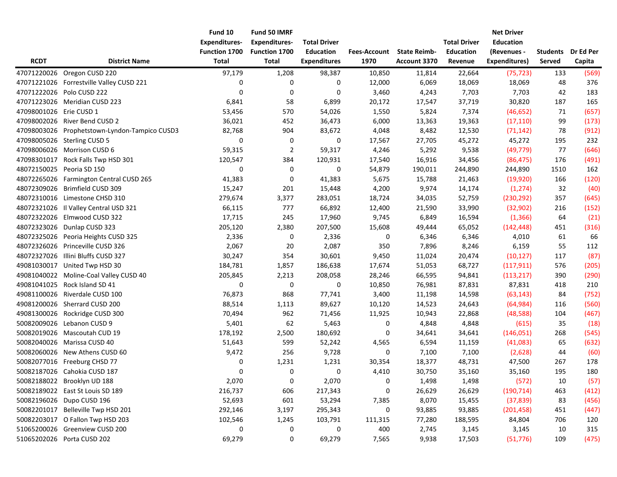| <b>RCDT</b>             | <b>District Name</b>                          | Fund 10<br><b>Expenditures-</b><br><b>Function 1700</b><br><b>Total</b> | Fund 50 IMRF<br><b>Expenditures-</b><br>Function 1700<br><b>Total</b> | <b>Total Driver</b><br><b>Education</b><br><b>Expenditures</b> | <b>Fees-Account</b><br>1970 | <b>State Reimb-</b><br>Account 3370 | <b>Total Driver</b><br><b>Education</b><br>Revenue | <b>Net Driver</b><br><b>Education</b><br>(Revenues -<br><b>Expenditures)</b> | <b>Students</b><br>Served | Dr Ed Per<br>Capita |
|-------------------------|-----------------------------------------------|-------------------------------------------------------------------------|-----------------------------------------------------------------------|----------------------------------------------------------------|-----------------------------|-------------------------------------|----------------------------------------------------|------------------------------------------------------------------------------|---------------------------|---------------------|
|                         |                                               |                                                                         |                                                                       |                                                                |                             |                                     |                                                    |                                                                              |                           |                     |
| 47071220026             | Oregon CUSD 220                               | 97,179                                                                  | 1,208                                                                 | 98,387                                                         | 10,850                      | 11,814                              | 22,664                                             | (75, 723)                                                                    | 133                       | (569)               |
|                         | 47071221026 Forrestville Valley CUSD 221      | 0                                                                       | 0                                                                     | 0                                                              | 12,000                      | 6,069                               | 18,069                                             | 18,069                                                                       | 48                        | 376                 |
|                         | 47071222026 Polo CUSD 222                     | $\mathbf 0$                                                             | 0                                                                     | 0                                                              | 3,460                       | 4,243                               | 7,703                                              | 7,703                                                                        | 42                        | 183                 |
|                         | 47071223026 Meridian CUSD 223                 | 6,841                                                                   | 58                                                                    | 6,899                                                          | 20,172                      | 17,547                              | 37,719                                             | 30,820                                                                       | 187                       | 165                 |
| 47098001026 Erie CUSD 1 |                                               | 53,456                                                                  | 570                                                                   | 54,026                                                         | 1,550                       | 5,824                               | 7,374                                              | (46, 652)                                                                    | 71                        | (657)               |
|                         | 47098002026 River Bend CUSD 2                 | 36,021                                                                  | 452                                                                   | 36,473                                                         | 6,000                       | 13,363                              | 19,363                                             | (17, 110)                                                                    | 99                        | (173)               |
|                         | 47098003026 Prophetstown-Lyndon-Tampico CUSD3 | 82,768                                                                  | 904                                                                   | 83,672                                                         | 4,048                       | 8,482                               | 12,530                                             | (71, 142)                                                                    | 78                        | (912)               |
|                         | 47098005026 Sterling CUSD 5                   | 0                                                                       | 0                                                                     | 0                                                              | 17,567                      | 27,705                              | 45,272                                             | 45,272                                                                       | 195                       | 232                 |
|                         | 47098006026 Morrison CUSD 6                   | 59,315                                                                  | $\overline{2}$                                                        | 59,317                                                         | 4,246                       | 5,292                               | 9,538                                              | (49, 779)                                                                    | 77                        | (646)               |
| 47098301017             | Rock Falls Twp HSD 301                        | 120,547                                                                 | 384                                                                   | 120,931                                                        | 17,540                      | 16,916                              | 34,456                                             | (86, 475)                                                                    | 176                       | (491)               |
| 48072150025             | Peoria SD 150                                 | 0                                                                       | 0                                                                     | 0                                                              | 54,879                      | 190,011                             | 244,890                                            | 244,890                                                                      | 1510                      | 162                 |
| 48072265026             | Farmington Central CUSD 265                   | 41,383                                                                  | 0                                                                     | 41,383                                                         | 5,675                       | 15,788                              | 21,463                                             | (19,920)                                                                     | 166                       | (120)               |
| 48072309026             | Brimfield CUSD 309                            | 15,247                                                                  | 201                                                                   | 15,448                                                         | 4,200                       | 9,974                               | 14,174                                             | (1, 274)                                                                     | 32                        | (40)                |
|                         | 48072310016 Limestone CHSD 310                | 279,674                                                                 | 3,377                                                                 | 283,051                                                        | 18,724                      | 34,035                              | 52,759                                             | (230, 292)                                                                   | 357                       | (645)               |
|                         | 48072321026 Il Valley Central USD 321         | 66,115                                                                  | 777                                                                   | 66,892                                                         | 12,400                      | 21,590                              | 33,990                                             | (32, 902)                                                                    | 216                       | (152)               |
| 48072322026             | Elmwood CUSD 322                              | 17,715                                                                  | 245                                                                   | 17,960                                                         | 9,745                       | 6,849                               | 16,594                                             | (1, 366)                                                                     | 64                        | (21)                |
|                         | 48072323026 Dunlap CUSD 323                   | 205,120                                                                 | 2,380                                                                 | 207,500                                                        | 15,608                      | 49,444                              | 65,052                                             | (142, 448)                                                                   | 451                       | (316)               |
|                         | 48072325026 Peoria Heights CUSD 325           | 2,336                                                                   | 0                                                                     | 2,336                                                          | 0                           | 6,346                               | 6,346                                              | 4,010                                                                        | 61                        | 66                  |
| 48072326026             | Princeville CUSD 326                          | 2,067                                                                   | 20                                                                    | 2,087                                                          | 350                         | 7,896                               | 8,246                                              | 6,159                                                                        | 55                        | 112                 |
| 48072327026             | Illini Bluffs CUSD 327                        | 30,247                                                                  | 354                                                                   | 30,601                                                         | 9,450                       | 11,024                              | 20,474                                             | (10, 127)                                                                    | 117                       | (87)                |
|                         | 49081030017 United Twp HSD 30                 | 184,781                                                                 | 1,857                                                                 | 186,638                                                        | 17,674                      | 51,053                              | 68,727                                             | (117, 911)                                                                   | 576                       | (205)               |
|                         | 49081040022 Moline-Coal Valley CUSD 40        | 205,845                                                                 | 2,213                                                                 | 208,058                                                        | 28,246                      | 66,595                              | 94,841                                             | (113, 217)                                                                   | 390                       | (290)               |
|                         | 49081041025 Rock Island SD 41                 | $\mathbf 0$                                                             | $\pmb{0}$                                                             | 0                                                              | 10,850                      | 76,981                              | 87,831                                             | 87,831                                                                       | 418                       | 210                 |
|                         | 49081100026 Riverdale CUSD 100                | 76,873                                                                  | 868                                                                   | 77,741                                                         | 3,400                       | 11,198                              | 14,598                                             | (63, 143)                                                                    | 84                        | (752)               |
|                         | 49081200026 Sherrard CUSD 200                 | 88,514                                                                  | 1,113                                                                 | 89,627                                                         | 10,120                      | 14,523                              | 24,643                                             | (64, 984)                                                                    | 116                       | (560)               |
|                         | 49081300026 Rockridge CUSD 300                | 70,494                                                                  | 962                                                                   | 71,456                                                         | 11,925                      | 10,943                              | 22,868                                             | (48, 588)                                                                    | 104                       | (467)               |
|                         | 50082009026 Lebanon CUSD 9                    | 5,401                                                                   | 62                                                                    | 5,463                                                          | 0                           | 4,848                               | 4,848                                              | (615)                                                                        | 35                        | (18)                |
|                         | 50082019026 Mascoutah CUD 19                  | 178,192                                                                 | 2,500                                                                 | 180,692                                                        | 0                           | 34,641                              | 34,641                                             | (146, 051)                                                                   | 268                       | (545)               |
|                         | 50082040026 Marissa CUSD 40                   | 51,643                                                                  | 599                                                                   | 52,242                                                         | 4,565                       | 6,594                               | 11,159                                             | (41,083)                                                                     | 65                        | (632)               |
|                         | 50082060026 New Athens CUSD 60                | 9,472                                                                   | 256                                                                   | 9,728                                                          | 0                           | 7,100                               | 7,100                                              | (2,628)                                                                      | 44                        | (60)                |
|                         | 50082077016 Freeburg CHSD 77                  | 0                                                                       | 1,231                                                                 | 1,231                                                          | 30,354                      | 18,377                              | 48,731                                             | 47,500                                                                       | 267                       | 178                 |
|                         | 50082187026 Cahokia CUSD 187                  | 0                                                                       | 0                                                                     | 0                                                              | 4,410                       | 30,750                              | 35,160                                             | 35,160                                                                       | 195                       | 180                 |
|                         | 50082188022 Brooklyn UD 188                   | 2,070                                                                   | 0                                                                     | 2,070                                                          | 0                           | 1,498                               | 1,498                                              | (572)                                                                        | 10                        | (57)                |
|                         | 50082189022   East St Louis SD 189            | 216,737                                                                 | 606                                                                   | 217,343                                                        | 0                           | 26,629                              | 26,629                                             | (190, 714)                                                                   | 463                       | (412)               |
|                         | 50082196026 Dupo CUSD 196                     | 52,693                                                                  | 601                                                                   | 53,294                                                         | 7,385                       | 8,070                               | 15,455                                             | (37, 839)                                                                    | 83                        | (456)               |
|                         | 50082201017 Belleville Twp HSD 201            | 292,146                                                                 | 3,197                                                                 | 295,343                                                        | 0                           | 93,885                              | 93,885                                             | (201, 458)                                                                   | 451                       | (447)               |
|                         | 50082203017 O Fallon Twp HSD 203              | 102,546                                                                 | 1,245                                                                 | 103,791                                                        | 111,315                     | 77,280                              | 188,595                                            | 84,804                                                                       | 706                       | 120                 |
|                         | 51065200026 Greenview CUSD 200                | 0                                                                       | $\boldsymbol{0}$                                                      | 0                                                              | 400                         | 2,745                               | 3,145                                              | 3,145                                                                        | 10                        | 315                 |
|                         | 51065202026 Porta CUSD 202                    | 69,279                                                                  | 0                                                                     | 69,279                                                         | 7,565                       | 9,938                               | 17,503                                             | (51, 776)                                                                    | 109                       | (475)               |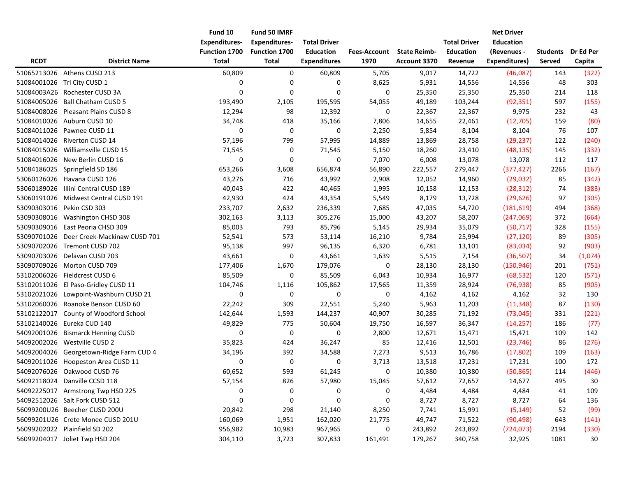|             |                                         | Fund 10              | Fund 50 IMRF         |                     |                     |                     |                     | <b>Net Driver</b> |                 |           |
|-------------|-----------------------------------------|----------------------|----------------------|---------------------|---------------------|---------------------|---------------------|-------------------|-----------------|-----------|
|             |                                         | <b>Expenditures-</b> | <b>Expenditures-</b> | <b>Total Driver</b> |                     |                     | <b>Total Driver</b> | <b>Education</b>  |                 |           |
|             |                                         | Function 1700        | Function 1700        | <b>Education</b>    | <b>Fees-Account</b> | <b>State Reimb-</b> | <b>Education</b>    | (Revenues -       | <b>Students</b> | Dr Ed Per |
| <b>RCDT</b> | <b>District Name</b>                    | <b>Total</b>         | Total                | <b>Expenditures</b> | 1970                | Account 3370        | Revenue             | Expenditures)     | Served          | Capita    |
|             | 51065213026 Athens CUSD 213             | 60,809               | 0                    | 60,809              | 5,705               | 9,017               | 14,722              | (46,087)          | 143             | (322)     |
|             | 51084001026 Tri City CUSD 1             | 0                    | 0                    | 0                   | 8,625               | 5,931               | 14,556              | 14,556            | 48              | 303       |
|             | 51084003A26 Rochester CUSD 3A           | 0                    | $\mathbf 0$          | $\mathbf 0$         | 0                   | 25,350              | 25,350              | 25,350            | 214             | 118       |
| 51084005026 | <b>Ball Chatham CUSD 5</b>              | 193,490              | 2,105                | 195,595             | 54,055              | 49,189              | 103,244             | (92, 351)         | 597             | (155)     |
| 51084008026 | Pleasant Plains CUSD 8                  | 12,294               | 98                   | 12,392              | 0                   | 22,367              | 22,367              | 9,975             | 232             | 43        |
| 51084010026 | Auburn CUSD 10                          | 34,748               | 418                  | 35,166              | 7,806               | 14,655              | 22,461              | (12,705)          | 159             | (80)      |
| 51084011026 | Pawnee CUSD 11                          | 0                    | 0                    | 0                   | 2,250               | 5,854               | 8,104               | 8,104             | 76              | 107       |
|             | 51084014026 Riverton CUSD 14            | 57,196               | 799                  | 57,995              | 14,889              | 13,869              | 28,758              | (29, 237)         | 122             | (240)     |
| 51084015026 | Williamsville CUSD 15                   | 71,545               | 0                    | 71,545              | 5,150               | 18,260              | 23,410              | (48, 135)         | 145             | (332)     |
| 51084016026 | New Berlin CUSD 16                      | 0                    | 0                    | 0                   | 7,070               | 6,008               | 13,078              | 13,078            | 112             | 117       |
| 51084186025 | Springfield SD 186                      | 653,266              | 3,608                | 656,874             | 56,890              | 222,557             | 279,447             | (377, 427)        | 2266            | (167)     |
|             | 53060126026 Havana CUSD 126             | 43,276               | 716                  | 43,992              | 2,908               | 12,052              | 14,960              | (29, 032)         | 85              | (342)     |
| 53060189026 | Illini Central CUSD 189                 | 40,043               | 422                  | 40,465              | 1,995               | 10,158              | 12,153              | (28, 312)         | 74              | (383)     |
|             | 53060191026 Midwest Central CUSD 191    | 42,930               | 424                  | 43,354              | 5,549               | 8,179               | 13,728              | (29, 626)         | 97              | (305)     |
|             | 53090303016 Pekin CSD 303               | 233,707              | 2,632                | 236,339             | 7,685               | 47,035              | 54,720              | (181, 619)        | 494             | (368)     |
|             | 53090308016 Washington CHSD 308         | 302,163              | 3,113                | 305,276             | 15,000              | 43,207              | 58,207              | (247,069)         | 372             | (664)     |
|             | 53090309016 East Peoria CHSD 309        | 85,003               | 793                  | 85,796              | 5,145               | 29,934              | 35,079              | (50, 717)         | 328             | (155)     |
| 53090701026 | Deer Creek-Mackinaw CUSD 701            | 52,541               | 573                  | 53,114              | 16,210              | 9,784               | 25,994              | (27, 120)         | 89              | (305)     |
| 53090702026 | Tremont CUSD 702                        | 95,138               | 997                  | 96,135              | 6,320               | 6,781               | 13,101              | (83,034)          | 92              | (903)     |
| 53090703026 | Delavan CUSD 703                        | 43,661               | 0                    | 43,661              | 1,639               | 5,515               | 7,154               | (36, 507)         | 34              | (1,074)   |
| 53090709026 | Morton CUSD 709                         | 177,406              | 1,670                | 179,076             | $\boldsymbol{0}$    | 28,130              | 28,130              | (150, 946)        | 201             | (751)     |
| 53102006026 | Fieldcrest CUSD 6                       | 85,509               | 0                    | 85,509              | 6,043               | 10,934              | 16,977              | (68, 532)         | 120             | (571)     |
|             | 53102011026 El Paso-Gridley CUSD 11     | 104,746              | 1,116                | 105,862             | 17,565              | 11,359              | 28,924              | (76, 938)         | 85              | (905)     |
|             | 53102021026 Lowpoint-Washburn CUSD 21   | 0                    | 0                    | 0                   | $\pmb{0}$           | 4,162               | 4,162               | 4,162             | 32              | 130       |
|             | 53102060026 Roanoke Benson CUSD 60      | 22,242               | 309                  | 22,551              | 5,240               | 5,963               | 11,203              | (11, 348)         | 87              | (130)     |
| 53102122017 | County of Woodford School               | 142,644              | 1,593                | 144,237             | 40,907              | 30,285              | 71,192              | (73, 045)         | 331             | (221)     |
| 53102140026 | Eureka CUD 140                          | 49,829               | 775                  | 50,604              | 19,750              | 16,597              | 36,347              | (14, 257)         | 186             | (77)      |
| 54092001026 | <b>Bismarck Henning CUSD</b>            | 0                    | 0                    | 0                   | 2,800               | 12,671              | 15,471              | 15,471            | 109             | 142       |
| 54092002026 | Westville CUSD 2                        | 35,823               | 424                  | 36,247              | 85                  | 12,416              | 12,501              | (23, 746)         | 86              | (276)     |
|             | 54092004026 Georgetown-Ridge Farm CUD 4 | 34,196               | 392                  | 34,588              | 7,273               | 9,513               | 16,786              | (17, 802)         | 109             | (163)     |
| 54092011026 | Hoopeston Area CUSD 11                  | 0                    | 0                    | 0                   | 3,713               | 13,518              | 17,231              | 17,231            | 100             | 172       |
|             | 54092076026 Oakwood CUSD 76             | 60,652               | 593                  | 61,245              | 0                   | 10,380              | 10,380              | (50, 865)         | 114             | (446)     |
|             | 54092118024 Danville CCSD 118           | 57,154               | 826                  | 57,980              | 15,045              | 57,612              | 72,657              | 14,677            | 495             | $30\,$    |
|             | 54092225017 Armstrong Twp HSD 225       | 0                    | 0                    | 0                   | 0                   | 4,484               | 4,484               | 4,484             | 41              | 109       |
|             | 54092512026 Salt Fork CUSD 512          | 0                    | 0                    | 0                   | 0                   | 8,727               | 8,727               | 8,727             | 64              | 136       |
|             | 56099200U26 Beecher CUSD 200U           | 20,842               | 298                  | 21,140              | 8,250               | 7,741               | 15,991              | (5, 149)          | 52              | (99)      |
|             | 56099201U26 Crete Monee CUSD 201U       | 160,069              | 1,951                | 162,020             | 21,775              | 49,747              | 71,522              | (90, 498)         | 643             | (141)     |
|             | 56099202022 Plainfield SD 202           | 956,982              | 10,983               | 967,965             | 0                   | 243,892             | 243,892             | (724, 073)        | 2194            | (330)     |
|             | 56099204017 Joliet Twp HSD 204          | 304,110              | 3,723                | 307,833             | 161,491             | 179,267             | 340,758             | 32,925            | 1081            | 30        |